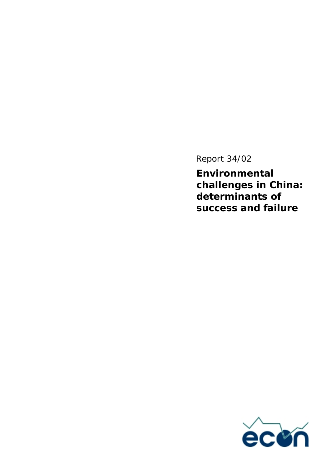Report 34/02

**Environmental challenges in China: determinants of success and failure** 

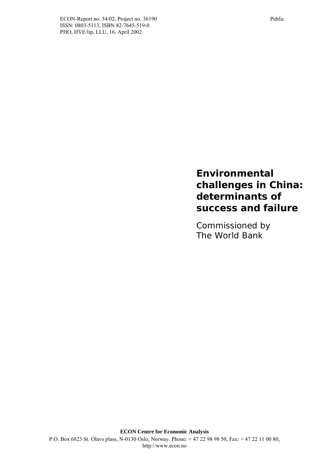### **Environmental challenges in China: determinants of success and failure**

Commissioned by The World Bank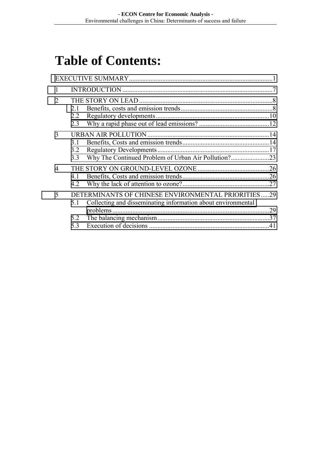## **Table of Contents:**

| $\overline{2}$           | 2.1<br>2.2<br>2.3 |                                                                                                                    |            |
|--------------------------|-------------------|--------------------------------------------------------------------------------------------------------------------|------------|
| 3                        | 3.1<br>3.2<br>3.3 | Why The Continued Problem of Urban Air Pollution?23                                                                |            |
| $\overline{\mathcal{A}}$ | 41<br>4.2         |                                                                                                                    | .26<br>.27 |
| 5                        | 5.1<br>5.2        | DETERMINANTS OF CHINESE ENVIRONMENTAL PRIORITIES29<br>Collecting and disseminating information about environmental | .29        |
|                          | 53                |                                                                                                                    | .41        |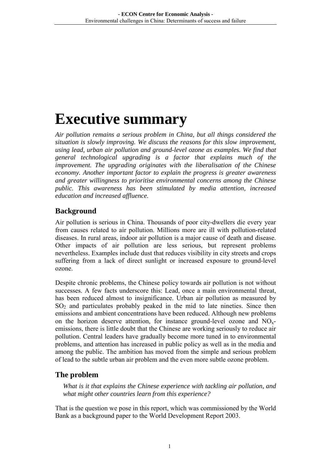## <span id="page-3-0"></span>**Executive summary**

*Air pollution remains a serious problem in China, but all things considered the situation is slowly improving. We discuss the reasons for this slow improvement,*  using lead, urban air pollution and ground-level ozone as examples. We find that *general technological upgrading is a factor that explains much of the improvement. The upgrading originates with the liberalisation of the Chinese economy. Another important factor to explain the progress is greater awareness and greater willingness to prioritise environmental concerns among the Chinese public. This awareness has been stimulated by media attention, increased education and increased affluence.* 

#### **Background**

Air pollution is serious in China. Thousands of poor city-dwellers die every year from causes related to air pollution. Millions more are ill with pollution-related diseases. In rural areas, indoor air pollution is a major cause of death and disease. Other impacts of air pollution are less serious, but represent problems nevertheless. Examples include dust that reduces visibility in city streets and crops suffering from a lack of direct sunlight or increased exposure to ground-level ozone.

Despite chronic problems, the Chinese policy towards air pollution is not without successes. A few facts underscore this: Lead, once a main environmental threat, has been reduced almost to insignificance. Urban air pollution as measured by  $SO<sub>2</sub>$  and particulates probably peaked in the mid to late nineties. Since then emissions and ambient concentrations have been reduced. Although new problems on the horizon deserve attention, for instance ground-level ozone and  $NO<sub>x</sub>$ emissions, there is little doubt that the Chinese are working seriously to reduce air pollution. Central leaders have gradually become more tuned in to environmental problems, and attention has increased in public policy as well as in the media and among the public. The ambition has moved from the simple and serious problem of lead to the subtle urban air problem and the even more subtle ozone problem.

#### **The problem**

*What is it that explains the Chinese experience with tackling air pollution, and what might other countries learn from this experience?* 

That is the question we pose in this report, which was commissioned by the World Bank as a background paper to the World Development Report 2003.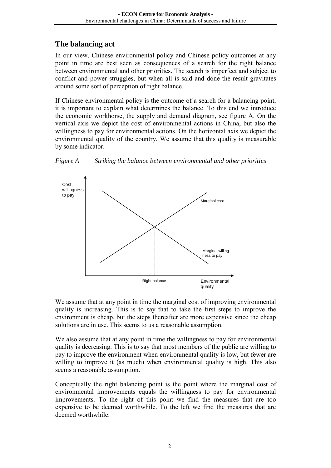#### **The balancing act**

In our view, Chinese environmental policy and Chinese policy outcomes at any point in time are best seen as consequences of a search for the right balance between environmental and other priorities. The search is imperfect and subject to conflict and power struggles, but when all is said and done the result gravitates around some sort of perception of right balance.

If Chinese environmental policy is the outcome of a search for a balancing point, it is important to explain what determines the balance. To this end we introduce the economic workhorse, the supply and demand diagram, see figure A. On the vertical axis we depict the cost of environmental actions in China, but also the willingness to pay for environmental actions. On the horizontal axis we depict the environmental quality of the country. We assume that this quality is measurable by some indicator.





We assume that at any point in time the marginal cost of improving environmental quality is increasing. This is to say that to take the first steps to improve the environment is cheap, but the steps thereafter are more expensive since the cheap solutions are in use. This seems to us a reasonable assumption.

We also assume that at any point in time the willingness to pay for environmental quality is decreasing. This is to say that most members of the public are willing to pay to improve the environment when environmental quality is low, but fewer are willing to improve it (as much) when environmental quality is high. This also seems a reasonable assumption.

Conceptually the right balancing point is the point where the marginal cost of environmental improvements equals the willingness to pay for environmental improvements. To the right of this point we find the measures that are too expensive to be deemed worthwhile. To the left we find the measures that are deemed worthwhile.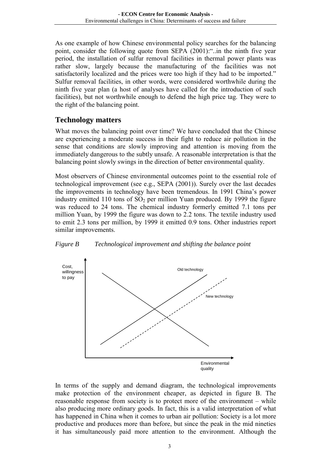As one example of how Chinese environmental policy searches for the balancing point, consider the following quote from SEPA (2001):"..in the ninth five year period, the installation of sulfur removal facilities in thermal power plants was rather slow, largely because the manufacturing of the facilities was not satisfactorily localized and the prices were too high if they had to be imported." Sulfur removal facilities, in other words, were considered worthwhile during the ninth five year plan (a host of analyses have called for the introduction of such facilities), but not worthwhile enough to defend the high price tag. They were to the right of the balancing point.

#### **Technology matters**

What moves the balancing point over time? We have concluded that the Chinese are experiencing a moderate success in their fight to reduce air pollution in the sense that conditions are slowly improving and attention is moving from the immediately dangerous to the subtly unsafe. A reasonable interpretation is that the balancing point slowly swings in the direction of better environmental quality.

Most observers of Chinese environmental outcomes point to the essential role of technological improvement (see e.g., SEPA (2001)). Surely over the last decades the improvements in technology have been tremendous. In 1991 China's power industry emitted 110 tons of  $SO<sub>2</sub>$  per million Yuan produced. By 1999 the figure was reduced to 24 tons. The chemical industry formerly emitted 7.1 tons per million Yuan, by 1999 the figure was down to 2.2 tons. The textile industry used to emit 2.3 tons per million, by 1999 it emitted 0.9 tons. Other industries report similar improvements.



*Figure B Technological improvement and shifting the balance point* 

In terms of the supply and demand diagram, the technological improvements make protection of the environment cheaper, as depicted in figure B. The reasonable response from society is to protect more of the environment – while also producing more ordinary goods. In fact, this is a valid interpretation of what has happened in China when it comes to urban air pollution: Society is a lot more productive and produces more than before, but since the peak in the mid nineties it has simultaneously paid more attention to the environment. Although the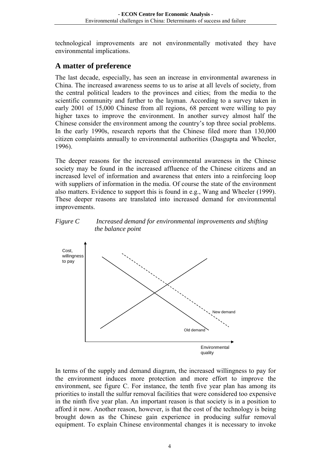technological improvements are not environmentally motivated they have environmental implications.

#### **A matter of preference**

The last decade, especially, has seen an increase in environmental awareness in China. The increased awareness seems to us to arise at all levels of society, from the central political leaders to the provinces and cities; from the media to the scientific community and further to the layman. According to a survey taken in early 2001 of 15,000 Chinese from all regions, 68 percent were willing to pay higher taxes to improve the environment. In another survey almost half the Chinese consider the environment among the country's top three social problems. In the early 1990s, research reports that the Chinese filed more than 130,000 citizen complaints annually to environmental authorities (Dasgupta and Wheeler, 1996).

The deeper reasons for the increased environmental awareness in the Chinese society may be found in the increased affluence of the Chinese citizens and an increased level of information and awareness that enters into a reinforcing loop with suppliers of information in the media. Of course the state of the environment also matters. Evidence to support this is found in e.g., Wang and Wheeler (1999). These deeper reasons are translated into increased demand for environmental improvements.

#### *Figure C Increased demand for environmental improvements and shifting the balance point*



In terms of the supply and demand diagram, the increased willingness to pay for the environment induces more protection and more effort to improve the environment, see figure C. For instance, the tenth five year plan has among its priorities to install the sulfur removal facilities that were considered too expensive in the ninth five year plan. An important reason is that society is in a position to afford it now. Another reason, however, is that the cost of the technology is being brought down as the Chinese gain experience in producing sulfur removal equipment. To explain Chinese environmental changes it is necessary to invoke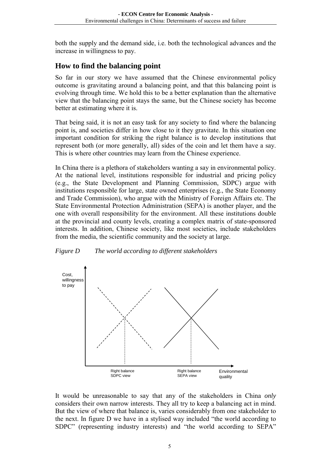both the supply and the demand side, i.e. both the technological advances and the increase in willingness to pay.

#### **How to find the balancing point**

So far in our story we have assumed that the Chinese environmental policy outcome is gravitating around a balancing point, and that this balancing point is evolving through time. We hold this to be a better explanation than the alternative view that the balancing point stays the same, but the Chinese society has become better at estimating where it is.

That being said, it is not an easy task for any society to find where the balancing point is, and societies differ in how close to it they gravitate. In this situation one important condition for striking the right balance is to develop institutions that represent both (or more generally, all) sides of the coin and let them have a say. This is where other countries may learn from the Chinese experience.

In China there is a plethora of stakeholders wanting a say in environmental policy. At the national level, institutions responsible for industrial and pricing policy (e.g., the State Development and Planning Commission, SDPC) argue with institutions responsible for large, state owned enterprises (e.g., the State Economy and Trade Commission), who argue with the Ministry of Foreign Affairs etc. The State Environmental Protection Administration (SEPA) is another player, and the one with overall responsibility for the environment. All these institutions double at the provincial and county levels, creating a complex matrix of state-sponsored interests. In addition, Chinese society, like most societies, include stakeholders from the media, the scientific community and the society at large.





It would be unreasonable to say that any of the stakeholders in China *only* considers their own narrow interests. They all try to keep a balancing act in mind. But the view of where that balance is, varies considerably from one stakeholder to the next. In figure D we have in a stylised way included "the world according to SDPC" (representing industry interests) and "the world according to SEPA"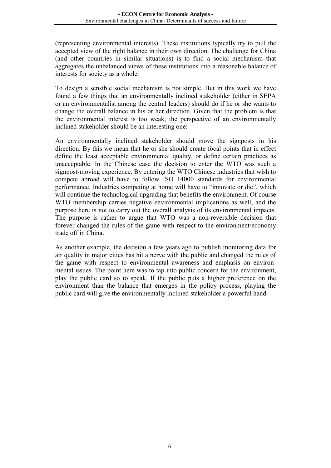(representing environmental interests). These institutions typically try to pull the accepted view of the right balance in their own direction. The challenge for China (and other countries in similar situations) is to find a social mechanism that aggregates the unbalanced views of these institutions into a reasonable balance of interests for society as a whole.

To design a sensible social mechanism is not simple. But in this work we have found a few things that an environmentally inclined stakeholder (either in SEPA or an environmentalist among the central leaders) should do if he or she wants to change the overall balance in his or her direction. Given that the problem is that the environmental interest is too weak, the perspective of an environmentally inclined stakeholder should be an interesting one:

An environmentally inclined stakeholder should move the signposts in his direction. By this we mean that he or she should create focal points that in effect define the least acceptable environmental quality, or define certain practices as unacceptable. In the Chinese case the decision to enter the WTO was such a signpost-moving experience. By entering the WTO Chinese industries that wish to compete abroad will have to follow ISO 14000 standards for environmental performance. Industries competing at home will have to "innovate or die", which will continue the technological upgrading that benefits the environment. Of course WTO membership carries negative environmental implications as well, and the purpose here is not to carry out the overall analysis of its environmental impacts. The purpose is rather to argue that WTO was a non-reversible decision that forever changed the rules of the game with respect to the environment/economy trade off in China.

As another example, the decision a few years ago to publish monitoring data for air quality in major cities has hit a nerve with the public and changed the rules of the game with respect to environmental awareness and emphasis on environmental issues. The point here was to tap into public concern for the environment, play the public card so to speak. If the public puts a higher preference on the environment than the balance that emerges in the policy process, playing the public card will give the environmentally inclined stakeholder a powerful hand.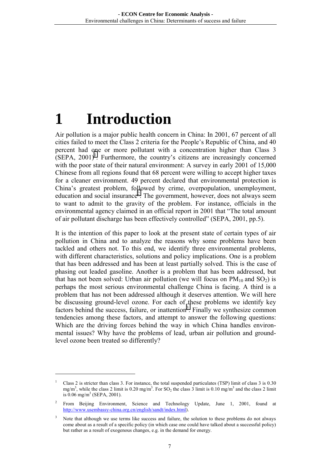# <span id="page-9-0"></span>**1 Introduction**

 $\overline{a}$ 

Air pollution is a major public health concern in China: In 2001, 67 percent of all cities failed to meet the Class 2 criteria for the People's Republic of China, and 40 percent had one or more pollutant with a concentration higher than Class 3  $(SEPA, 2001)^1$ . Furthermore, the country's citizens are increasingly concerned with the poor state of their natural environment: A survey in early 2001 of 15,000 Chinese from all regions found that 68 percent were willing to accept higher taxes for a cleaner environment. 49 percent declared that environmental protection is China's greatest problem, followed by crime, overpopulation, unemployment, education and social insurance<sup>2</sup>. The government, however, does not always seem to want to admit to the gravity of the problem. For instance, officials in the environmental agency claimed in an official report in 2001 that "The total amount of air pollutant discharge has been effectively controlled" (SEPA, 2001, pp.5).

It is the intention of this paper to look at the present state of certain types of air pollution in China and to analyze the reasons why some problems have been tackled and others not. To this end, we identify three environmental problems, with different characteristics, solutions and policy implications. One is a problem that has been addressed and has been at least partially solved. This is the case of phasing out leaded gasoline. Another is a problem that has been addressed, but that has not been solved: Urban air pollution (we will focus on  $PM_{10}$  and  $SO_2$ ) is perhaps the most serious environmental challenge China is facing. A third is a problem that has not been addressed although it deserves attention. We will here be discussing ground-level ozone. For each of these problems we identify key factors behind the success, failure, or inattention<sup>3</sup>. Finally we synthesize common tendencies among these factors, and attempt to answer the following questions: Which are the driving forces behind the way in which China handles environmental issues? Why have the problems of lead, urban air pollution and groundlevel ozone been treated so differently?

<sup>1</sup> Class 2 is stricter than class 3. For instance, the total suspended particulates (TSP) limit of class 3 is 0.30 mg/m<sup>3</sup>, while the class 2 limit is 0.20 mg/m<sup>3</sup>. For SO<sub>2</sub> the class 3 limit is 0.10 mg/m<sup>3</sup> and the class 2 limit is  $0.06 \text{ mg/m}^3$  (SEPA, 2001).

<sup>2</sup> From Beijing Environment, Science and Technology Update, June 1, 2001, found at http://www.usembassy-china.org.cn/english/sandt/index.html).

<sup>3</sup> Note that although we use terms like success and failure, the solution to these problems do not always come about as a result of a specific policy (in which case one could have talked about a successful policy) but rather as a result of exogenous changes, e.g. in the demand for energy.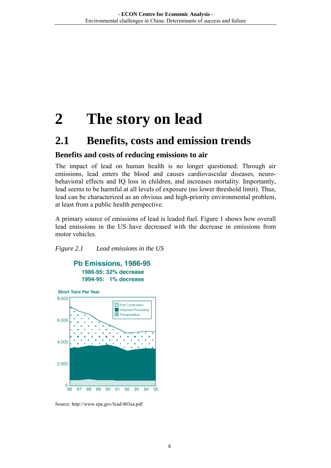## <span id="page-10-0"></span>**2 The story on lead**

### **2.1 Benefits, costs and emission trends**

#### **Benefits and costs of reducing emissions to air**

The impact of lead on human health is no longer questioned: Through air emissions, lead enters the blood and causes cardiovascular diseases, neurobehavioral effects and IQ loss in children, and increases mortality. Importantly, lead seems to be harmful at all levels of exposure (no lower threshold limit). Thus, lead can be characterized as an obvious and high-priority environmental problem, at least from a public health perspective.

A primary source of emissions of lead is leaded fuel. Figure 1 shows how overall lead emissions in the US have decreased with the decrease in emissions from motor vehicles.

#### *Figure 2.1 Lead emissions in the US*



Source: http://www.epa.gov/lead/403ea.pdf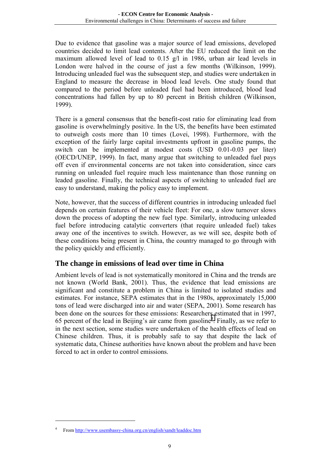Due to evidence that gasoline was a major source of lead emissions, developed countries decided to limit lead contents. After the EU reduced the limit on the maximum allowed level of lead to 0.15 g/l in 1986, urban air lead levels in London were halved in the course of just a few months (Wilkinson, 1999). Introducing unleaded fuel was the subsequent step, and studies were undertaken in England to measure the decrease in blood lead levels. One study found that compared to the period before unleaded fuel had been introduced, blood lead concentrations had fallen by up to 80 percent in British children (Wilkinson, 1999).

There is a general consensus that the benefit-cost ratio for eliminating lead from gasoline is overwhelmingly positive. In the US, the benefits have been estimated to outweigh costs more than 10 times (Lovei, 1998). Furthermore, with the exception of the fairly large capital investments upfront in gasoline pumps, the switch can be implemented at modest costs (USD 0.01-0.03 per liter) (OECD/UNEP, 1999). In fact, many argue that switching to unleaded fuel pays off even if environmental concerns are not taken into consideration, since cars running on unleaded fuel require much less maintenance than those running on leaded gasoline. Finally, the technical aspects of switching to unleaded fuel are easy to understand, making the policy easy to implement.

Note, however, that the success of different countries in introducing unleaded fuel depends on certain features of their vehicle fleet: For one, a slow turnover slows down the process of adopting the new fuel type. Similarly, introducing unleaded fuel before introducing catalytic converters (that require unleaded fuel) takes away one of the incentives to switch. However, as we will see, despite both of these conditions being present in China, the country managed to go through with the policy quickly and efficiently.

#### **The change in emissions of lead over time in China**

Ambient levels of lead is not systematically monitored in China and the trends are not known (World Bank, 2001). Thus, the evidence that lead emissions are significant and constitute a problem in China is limited to isolated studies and estimates. For instance, SEPA estimates that in the 1980s, approximately 15,000 tons of lead were discharged into air and water (SEPA, 2001). Some research has been done on the sources for these emissions: Researchers estimated that in 1997, 65 percent of the lead in Beijing's air came from gasoline<sup>4</sup>. Finally, as we refer to in the next section, some studies were undertaken of the health effects of lead on Chinese children. Thus, it is probably safe to say that despite the lack of systematic data, Chinese authorities have known about the problem and have been forced to act in order to control emissions.

<sup>4</sup> From http://www.usembassy-china.org.cn/english/sandt/leaddoc.htm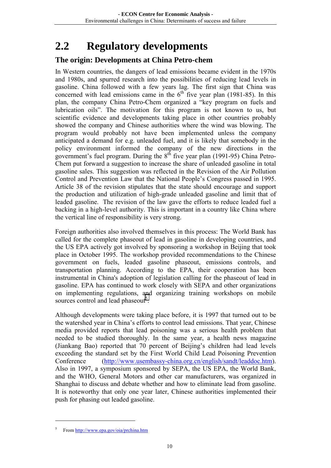## <span id="page-12-0"></span>**2.2 Regulatory developments**

#### **The origin: Developments at China Petro-chem**

In Western countries, the dangers of lead emissions became evident in the 1970s and 1980s, and spurred research into the possibilities of reducing lead levels in gasoline. China followed with a few years lag. The first sign that China was concerned with lead emissions came in the  $6<sup>th</sup>$  five year plan (1981-85). In this plan, the company China Petro-Chem organized a "key program on fuels and lubrication oils". The motivation for this program is not known to us, but scientific evidence and developments taking place in other countries probably showed the company and Chinese authorities where the wind was blowing. The program would probably not have been implemented unless the company anticipated a demand for e.g. unleaded fuel, and it is likely that somebody in the policy environment informed the company of the new directions in the government's fuel program. During the  $8<sup>th</sup>$  five year plan (1991-95) China Petro-Chem put forward a suggestion to increase the share of unleaded gasoline in total gasoline sales. This suggestion was reflected in the Revision of the Air Pollution Control and Prevention Law that the National People's Congress passed in 1995. Article 38 of the revision stipulates that the state should encourage and support the production and utilization of high-grade unleaded gasoline and limit that of leaded gasoline. The revision of the law gave the efforts to reduce leaded fuel a backing in a high-level authority. This is important in a country like China where the vertical line of responsibility is very strong.

Foreign authorities also involved themselves in this process: The World Bank has called for the complete phaseout of lead in gasoline in developing countries, and the US EPA actively got involved by sponsoring a workshop in Beijing that took place in October 1995. The workshop provided recommendations to the Chinese government on fuels, leaded gasoline phaseout, emissions controls, and transportation planning. According to the EPA, their cooperation has been instrumental in China's adoption of legislation calling for the phaseout of lead in gasoline. EPA has continued to work closely with SEPA and other organizations on implementing regulations, and organizing training workshops on mobile sources control and lead phaseout<sup>5</sup>.

Although developments were taking place before, it is 1997 that turned out to be the watershed year in China's efforts to control lead emissions. That year, Chinese media provided reports that lead poisoning was a serious health problem that needed to be studied thoroughly. In the same year, a health news magazine (Jiankang Bao) reported that 70 percent of Beijing's children had lead levels exceeding the standard set by the First World Child Lead Poisoning Prevention Conference (http://www.usembassy-china.org.cn/english/sandt/leaddoc.htm). Also in 1997, a symposium sponsored by SEPA, the US EPA, the World Bank, and the WHO, General Motors and other car manufacturers, was organized in Shanghai to discuss and debate whether and how to eliminate lead from gasoline. It is noteworthy that only one year later, Chinese authorities implemented their push for phasing out leaded gasoline.

<sup>5</sup> From http://www.epa.gov/oia/prchina.htm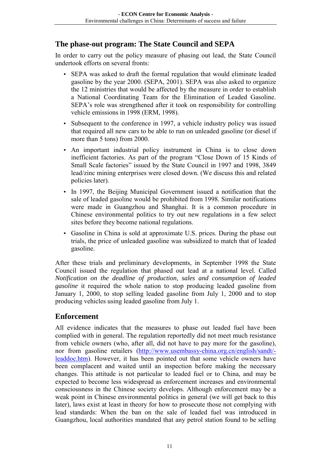#### **The phase-out program: The State Council and SEPA**

In order to carry out the policy measure of phasing out lead, the State Council undertook efforts on several fronts:

- SEPA was asked to draft the formal regulation that would eliminate leaded gasoline by the year 2000. (SEPA, 2001). SEPA was also asked to organize the 12 ministries that would be affected by the measure in order to establish a National Coordinating Team for the Elimination of Leaded Gasoline. SEPA's role was strengthened after it took on responsibility for controlling vehicle emissions in 1998 (ERM, 1998).
- Subsequent to the conference in 1997, a vehicle industry policy was issued that required all new cars to be able to run on unleaded gasoline (or diesel if more than 5 tons) from 2000.
- An important industrial policy instrument in China is to close down inefficient factories. As part of the program "Close Down of 15 Kinds of Small Scale factories" issued by the State Council in 1997 and 1998, 3849 lead/zinc mining enterprises were closed down. (We discuss this and related policies later).
- In 1997, the Beijing Municipal Government issued a notification that the sale of leaded gasoline would be prohibited from 1998. Similar notifications were made in Guangzhou and Shanghai. It is a common procedure in Chinese environmental politics to try out new regulations in a few select sites before they become national regulations.
- Gasoline in China is sold at approximate U.S. prices. During the phase out trials, the price of unleaded gasoline was subsidized to match that of leaded gasoline.

After these trials and preliminary developments, in September 1998 the State Council issued the regulation that phased out lead at a national level. Called *Notification on the deadline of production, sales and consumption of leaded gasoline* it required the whole nation to stop producing leaded gasoline from January 1, 2000, to stop selling leaded gasoline from July 1, 2000 and to stop producing vehicles using leaded gasoline from July 1.

#### **Enforcement**

All evidence indicates that the measures to phase out leaded fuel have been complied with in general. The regulation reportedly did not meet much resistance from vehicle owners (who, after all, did not have to pay more for the gasoline), nor from gasoline retailers (http://www.usembassy-china.org.cn/english/sandt/ leaddoc.htm). However, it has been pointed out that some vehicle owners have been complacent and waited until an inspection before making the necessary changes. This attitude is not particular to leaded fuel or to China, and may be expected to become less widespread as enforcement increases and environmental consciousness in the Chinese society develops. Although enforcement may be a weak point in Chinese environmental politics in general (we will get back to this later), laws exist at least in theory for how to prosecute those not complying with lead standards: When the ban on the sale of leaded fuel was introduced in Guangzhou, local authorities mandated that any petrol station found to be selling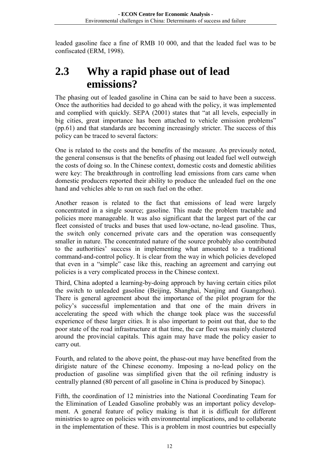<span id="page-14-0"></span>leaded gasoline face a fine of RMB 10 000, and that the leaded fuel was to be confiscated (ERM, 1998).

### **2.3 Why a rapid phase out of lead emissions?**

The phasing out of leaded gasoline in China can be said to have been a success. Once the authorities had decided to go ahead with the policy, it was implemented and complied with quickly. SEPA (2001) states that "at all levels, especially in big cities, great importance has been attached to vehicle emission problems" (pp.61) and that standards are becoming increasingly stricter. The success of this policy can be traced to several factors:

One is related to the costs and the benefits of the measure. As previously noted, the general consensus is that the benefits of phasing out leaded fuel well outweigh the costs of doing so. In the Chinese context, domestic costs and domestic abilities were key: The breakthrough in controlling lead emissions from cars came when domestic producers reported their ability to produce the unleaded fuel on the one hand and vehicles able to run on such fuel on the other.

Another reason is related to the fact that emissions of lead were largely concentrated in a single source; gasoline. This made the problem tractable and policies more manageable. It was also significant that the largest part of the car fleet consisted of trucks and buses that used low-octane, no-lead gasoline. Thus, the switch only concerned private cars and the operation was consequently smaller in nature. The concentrated nature of the source probably also contributed to the authorities' success in implementing what amounted to a traditional command-and-control policy. It is clear from the way in which policies developed that even in a "simple" case like this, reaching an agreement and carrying out policies is a very complicated process in the Chinese context.

Third, China adopted a learning-by-doing approach by having certain cities pilot the switch to unleaded gasoline (Beijing, Shanghai, Nanjing and Guangzhou). There is general agreement about the importance of the pilot program for the policy's successful implementation and that one of the main drivers in accelerating the speed with which the change took place was the successful experience of these larger cities. It is also important to point out that, due to the poor state of the road infrastructure at that time, the car fleet was mainly clustered around the provincial capitals. This again may have made the policy easier to carry out.

Fourth, and related to the above point, the phase-out may have benefited from the dirigiste nature of the Chinese economy. Imposing a no-lead policy on the production of gasoline was simplified given that the oil refining industry is centrally planned (80 percent of all gasoline in China is produced by Sinopac).

Fifth, the coordination of 12 ministries into the National Coordinating Team for the Elimination of Leaded Gasoline probably was an important policy development. A general feature of policy making is that it is difficult for different ministries to agree on policies with environmental implications, and to collaborate in the implementation of these. This is a problem in most countries but especially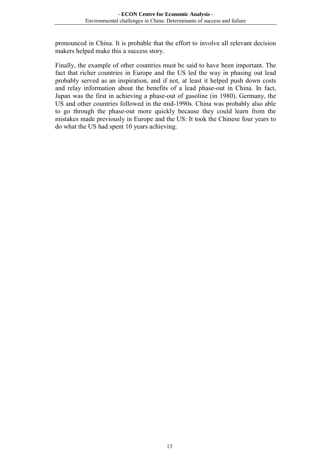pronounced in China. It is probable that the effort to involve all relevant decision makers helped make this a success story.

Finally, the example of other countries must be said to have been important. The fact that richer countries in Europe and the US led the way in phasing out lead probably served as an inspiration, and if not, at least it helped push down costs and relay information about the benefits of a lead phase-out in China. In fact, Japan was the first in achieving a phase-out of gasoline (in 1980). Germany, the US and other countries followed in the mid-1990s. China was probably also able to go through the phase-out more quickly because they could learn from the mistakes made previously in Europe and the US: It took the Chinese four years to do what the US had spent 10 years achieving.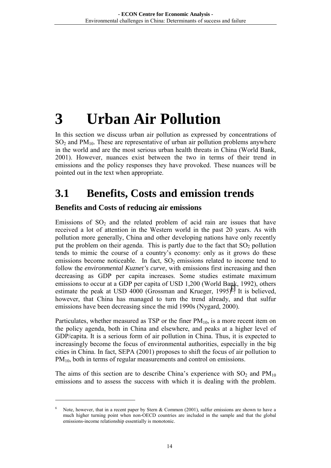# <span id="page-16-0"></span>**3 Urban Air Pollution**

In this section we discuss urban air pollution as expressed by concentrations of  $SO<sub>2</sub>$  and PM<sub>10</sub>. These are representative of urban air pollution problems anywhere in the world and are the most serious urban health threats in China (World Bank, 2001). However, nuances exist between the two in terms of their trend in emissions and the policy responses they have provoked. These nuances will be pointed out in the text when appropriate.

## **3.1 Benefits, Costs and emission trends**

#### **Benefits and Costs of reducing air emissions**

 $\overline{a}$ 

Emissions of  $SO<sub>2</sub>$  and the related problem of acid rain are issues that have received a lot of attention in the Western world in the past 20 years. As with pollution more generally, China and other developing nations have only recently put the problem on their agenda. This is partly due to the fact that  $SO_2$  pollution tends to mimic the course of a country's economy: only as it grows do these emissions become noticeable. In fact,  $SO_2$  emissions related to income tend to follow the *environmental Kuznet's curve*, with emissions first increasing and then decreasing as GDP per capita increases. Some studies estimate maximum emissions to occur at a GDP per capita of USD 1,200 (World Bank, 1992), others estimate the peak at USD  $4000$  (Grossman and Krueger, 1995)<sup>6</sup>. It is believed, however, that China has managed to turn the trend already, and that sulfur emissions have been decreasing since the mid 1990s (Nygard, 2000).

Particulates, whether measured as TSP or the finer  $PM_{10}$ , is a more recent item on the policy agenda, both in China and elsewhere, and peaks at a higher level of GDP/capita. It is a serious form of air pollution in China. Thus, it is expected to increasingly become the focus of environmental authorities, especially in the big cities in China. In fact, SEPA (2001) proposes to shift the focus of air pollution to  $PM<sub>10</sub>$ , both in terms of regular measurements and control on emissions.

The aims of this section are to describe China's experience with  $SO_2$  and  $PM_{10}$ emissions and to assess the success with which it is dealing with the problem.

<sup>6</sup> Note, however, that in a recent paper by Stern & Common (2001), sulfur emissions are shown to have a much higher turning point when non-OECD countries are included in the sample and that the global emissions-income relationship essentially is monotonic.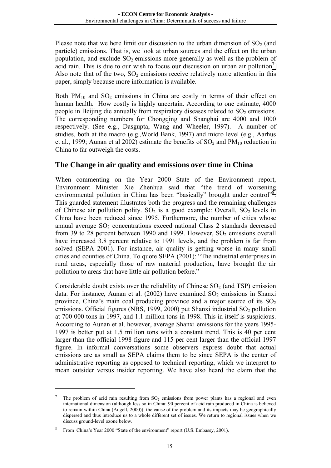Please note that we here limit our discussion to the urban dimension of  $SO<sub>2</sub>$  (and particle) emissions. That is, we look at urban sources and the effect on the urban population, and exclude  $SO<sub>2</sub>$  emissions more generally as well as the problem of acid rain. This is due to our wish to focus our discussion on urban air pollution<sup>7</sup>. Also note that of the two,  $SO_2$  emissions receive relatively more attention in this paper, simply because more information is available.

Both  $PM_{10}$  and  $SO_2$  emissions in China are costly in terms of their effect on human health. How costly is highly uncertain. According to one estimate, 4000 people in Beijing die annually from respiratory diseases related to  $SO<sub>2</sub>$  emissions. The corresponding numbers for Chongqing and Shanghai are 4000 and 1000 respectively. (See e.g., Dasgupta, Wang and Wheeler, 1997). A number of studies, both at the macro (e.g.,World Bank, 1997) and micro level (e.g., Aarhus et al., 1999; Aunan et al 2002) estimate the benefits of  $SO<sub>2</sub>$  and  $PM<sub>10</sub>$  reduction in China to far outweigh the costs.

#### **The Change in air quality and emissions over time in China**

When commenting on the Year 2000 State of the Environment report, Environment Minister Xie Zhenhua said that "the trend of worsening environmental pollution in China has been "basically" brought under control"<sup>8</sup>. This guarded statement illustrates both the progress and the remaining challenges of Chinese air pollution polity.  $SO_2$  is a good example: Overall,  $SO_2$  levels in China have been reduced since 1995. Furthermore, the number of cities whose annual average  $SO<sub>2</sub>$  concentrations exceed national Class 2 standards decreased from 39 to 28 percent between 1990 and 1999. However,  $SO_2$  emissions overall have increased 3.8 percent relative to 1991 levels, and the problem is far from solved (SEPA 2001). For instance, air quality is getting worse in many small cities and counties of China. To quote SEPA (2001): "The industrial enterprises in rural areas, especially those of raw material production, have brought the air pollution to areas that have little air pollution before."

Considerable doubt exists over the reliability of Chinese  $SO<sub>2</sub>$  (and TSP) emission data. For instance, Aunan et al. (2002) have examined  $SO_2$  emissions in Shanxi province, China's main coal producing province and a major source of its  $SO<sub>2</sub>$ emissions. Official figures (NBS, 1999, 2000) put Shanxi industrial  $SO_2$  pollution at 700 000 tons in 1997, and 1.1 million tons in 1998. This in itself is suspicious. According to Aunan et al. however, average Shanxi emissions for the years 1995- 1997 is better put at 1.5 million tons with a constant trend. This is 40 per cent larger than the official 1998 figure and 115 per cent larger than the official 1997 figure. In informal conversations some observers express doubt that actual emissions are as small as SEPA claims them to be since SEPA is the center of administrative reporting as opposed to technical reporting, which we interpret to mean outsider versus insider reporting. We have also heard the claim that the

<sup>7</sup> The problem of acid rain resulting from  $SO<sub>2</sub>$  emissions from power plants has a regional and even international dimension (although less so in China: 90 percent of acid rain produced in China is believed to remain within China (Angell, 2000)): the cause of the problem and its impacts may be geographically dispersed and thus introduce us to a whole different set of issues. We return to regional issues when we discuss ground-level ozone below.

<sup>8</sup> From China's Year 2000 "State of the environment" report (U.S. Embassy, 2001).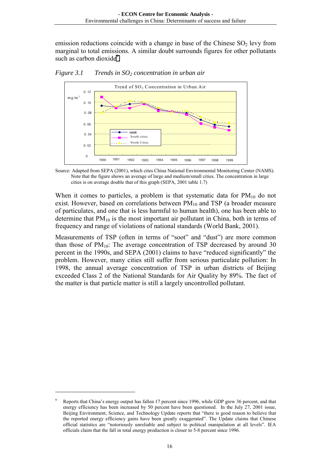emission reductions coincide with a change in base of the Chinese  $SO<sub>2</sub>$  levy from marginal to total emissions. A similar doubt surrounds figures for other pollutants such as carbon dioxide<sup>9</sup>.



*Figure 3.1* Trends in SO<sub>2</sub> concentration in urban air

Source: Adapted from SEPA (2001), which cites China National Environmental Monitoring Center (NAMS). Note that the figure shows an average of large and medium/small cities. The concentration in large cities is on average double that of this graph (SEPA, 2001 table 1.7)

When it comes to particles, a problem is that systematic data for  $PM_{10}$  do not exist. However, based on correlations between  $PM_{10}$  and TSP (a broader measure of particulates, and one that is less harmful to human health), one has been able to determine that  $PM_{10}$  is the most important air pollutant in China, both in terms of frequency and range of violations of national standards (World Bank, 2001).

Measurements of TSP (often in terms of "soot" and "dust") are more common than those of  $PM_{10}$ . The average concentration of TSP decreased by around 30 percent in the 1990s, and SEPA (2001) claims to have "reduced significantly" the problem. However, many cities still suffer from serious particulate pollution: In 1998, the annual average concentration of TSP in urban districts of Beijing exceeded Class 2 of the National Standards for Air Quality by 89%. The fact of the matter is that particle matter is still a largely uncontrolled pollutant.

<sup>9</sup> Reports that China's energy output has fallen 17 percent since 1996, while GDP grew 36 percent, and that energy efficiency has been increased by 50 percent have been questioned. In the July 27, 2001 issue, Beijing Environment, Science, and Technology Update reports that "there is good reason to believe that the reported energy efficiency gains have been greatly exaggerated". The Update claims that Chinese official statistics are "notoriously unreliable and subject to political manipulation at all levels". IEA officials claim that the fall in total energy production is closer to 5-8 percent since 1996.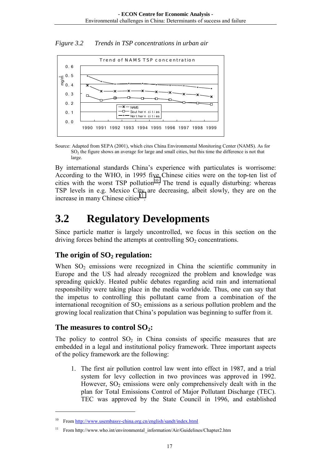<span id="page-19-0"></span>*Figure 3.2 Trends in TSP concentrations in urban air* 



Source: Adapted from SEPA (2001), which cites China Environmental Monitoring Center (NAMS). As for SO<sub>2</sub> the figure shows an average for large and small cities, but this time the difference is not that large.

By international standards China's experience with particulates is worrisome: According to the WHO, in 1995 five Chinese cities were on the top-ten list of cities with the worst  $TSP$  pollution<sup>10</sup>. The trend is equally disturbing: whereas TSP levels in e.g. Mexico City are decreasing, albeit slowly, they are on the increase in many Chinese cities $11$ .

### **3.2 Regulatory Developments**

Since particle matter is largely uncontrolled, we focus in this section on the driving forces behind the attempts at controlling  $SO<sub>2</sub>$  concentrations.

#### The origin of  $SO<sub>2</sub>$  regulation:

When  $SO<sub>2</sub>$  emissions were recognized in China the scientific community in Europe and the US had already recognized the problem and knowledge was spreading quickly. Heated public debates regarding acid rain and international responsibility were taking place in the media worldwide. Thus, one can say that the impetus to controlling this pollutant came from a combination of the international recognition of  $SO<sub>2</sub>$  emissions as a serious pollution problem and the growing local realization that China's population was beginning to suffer from it.

#### The measures to control SO<sub>2</sub>:

 $\overline{a}$ 

The policy to control  $SO_2$  in China consists of specific measures that are embedded in a legal and institutional policy framework. Three important aspects of the policy framework are the following:

1. The first air pollution control law went into effect in 1987, and a trial system for levy collection in two provinces was approved in 1992. However,  $SO_2$  emissions were only comprehensively dealt with in the plan for Total Emissions Control of Major Pollutant Discharge (TEC). TEC was approved by the State Council in 1996, and established

<sup>10</sup> From http://www.usembassy-china.org.cn/english/sandt/index.html

<sup>11</sup> From http://www.who.int/environmental\_information/Air/Guidelines/Chapter2.htm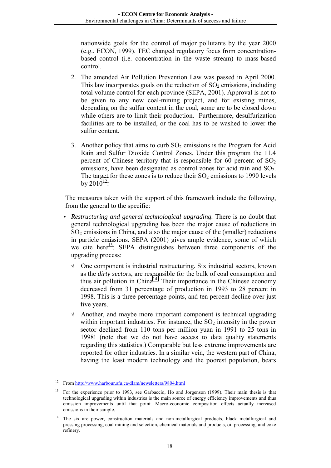nationwide goals for the control of major pollutants by the year 2000 (e.g., ECON, 1999). TEC changed regulatory focus from concentrationbased control (i.e. concentration in the waste stream) to mass-based control.

- 2. The amended Air Pollution Prevention Law was passed in April 2000. This law incorporates goals on the reduction of  $SO<sub>2</sub>$  emissions, including total volume control for each province (SEPA, 2001). Approval is not to be given to any new coal-mining project, and for existing mines, depending on the sulfur content in the coal, some are to be closed down while others are to limit their production. Furthermore, desulfurization facilities are to be installed, or the coal has to be washed to lower the sulfur content.
- 3. Another policy that aims to curb  $SO_2$  emissions is the Program for Acid Rain and Sulfur Dioxide Control Zones. Under this program the 11.4 percent of Chinese territory that is responsible for 60 percent of  $SO<sub>2</sub>$ emissions, have been designated as control zones for acid rain and SO<sub>2</sub>. The target for these zones is to reduce their  $SO_2$  emissions to 1990 levels by  $2010^{12}$ .

The measures taken with the support of this framework include the following, from the general to the specific:

- *Restructuring and general technological upgrading.* There is no doubt that general technological upgrading has been the major cause of reductions in  $SO<sub>2</sub>$  emissions in China, and also the major cause of the (smaller) reductions in particle emissions. SEPA (2001) gives ample evidence, some of which we cite here<sup>13</sup>. SEPA distinguishes between three components of the upgrading process:
	- √ One component is industrial restructuring. Six industrial sectors, known as the *dirty sectors*, are responsible for the bulk of coal consumption and thus air pollution in China<sup>14</sup>. Their importance in the Chinese economy decreased from 31 percentage of production in 1993 to 28 percent in 1998. This is a three percentage points, and ten percent decline over just five years.
	- $\sqrt{\ }$  Another, and maybe more important component is technical upgrading within important industries. For instance, the  $SO<sub>2</sub>$  intensity in the power sector declined from 110 tons per million yuan in 1991 to 25 tons in 1998! (note that we do not have access to data quality statements regarding this statistics.) Comparable but less extreme improvements are reported for other industries. In a similar vein, the western part of China, having the least modern technology and the poorest population, bears

<sup>12</sup> From http://www.harbour.sfu.ca/dlam/newsletters/9804.html

<sup>13</sup> For the experience prior to 1993, see Garbaccio, Ho and Jorgenson (1999). Their main thesis is that technological upgrading within industries is the main source of energy efficiency improvements and thus emission improvements until that point. Macro-economic composition effects actually increased emissions in their sample.

<sup>&</sup>lt;sup>14</sup> The six are power, construction materials and non-metallurgical products, black metallurgical and pressing processing, coal mining and selection, chemical materials and products, oil processing, and coke refinery.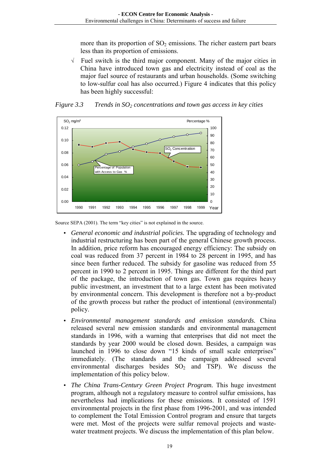more than its proportion of  $SO<sub>2</sub>$  emissions. The richer eastern part bears less than its proportion of emissions.

√ Fuel switch is the third major component. Many of the major cities in China have introduced town gas and electricity instead of coal as the major fuel source of restaurants and urban households. (Some switching to low-sulfur coal has also occurred.) Figure 4 indicates that this policy has been highly successful:



*Figure 3.3* Trends in SO<sub>2</sub> concentrations and town gas access in key cities

Source SEPA (2001). The term "key cities" is not explained in the source.

- *General economic and industrial policies.* The upgrading of technology and industrial restructuring has been part of the general Chinese growth process. In addition, price reform has encouraged energy efficiency: The subsidy on coal was reduced from 37 percent in 1984 to 28 percent in 1995, and has since been further reduced. The subsidy for gasoline was reduced from 55 percent in 1990 to 2 percent in 1995. Things are different for the third part of the package, the introduction of town gas. Town gas requires heavy public investment, an investment that to a large extent has been motivated by environmental concern. This development is therefore not a by-product of the growth process but rather the product of intentional (environmental) policy.
- *Environmental management standards and emission standards.* China released several new emission standards and environmental management standards in 1996, with a warning that enterprises that did not meet the standards by year 2000 would be closed down. Besides, a campaign was launched in 1996 to close down "15 kinds of small scale enterprises" immediately. (The standards and the campaign addressed several environmental discharges besides  $SO<sub>2</sub>$  and TSP). We discuss the implementation of this policy below.
- *The China Trans-Century Green Project Program.* This huge investment program, although not a regulatory measure to control sulfur emissions, has nevertheless had implications for these emissions. It consisted of 1591 environmental projects in the first phase from 1996-2001, and was intended to complement the Total Emission Control program and ensure that targets were met. Most of the projects were sulfur removal projects and wastewater treatment projects. We discuss the implementation of this plan below.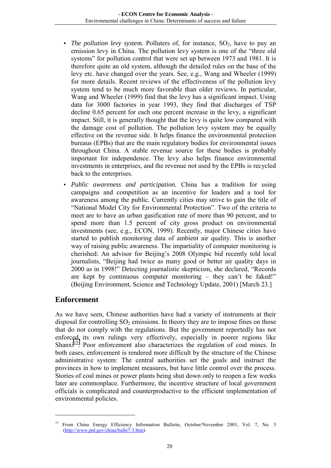- *The pollution levy system.* Polluters of, for instance,  $SO_2$ , have to pay an emission levy in China. The pollution levy system is one of the "three old systems" for pollution control that were set up between 1973 and 1981. It is therefore quite an old system, although the detailed rules on the base of the levy etc. have changed over the years. See, e.g., Wang and Wheeler (1999) for more details. Recent reviews of the effectiveness of the pollution levy system tend to be much more favorable than older reviews. In particular, Wang and Wheeler (1999) find that the levy has a significant impact. Using data for 3000 factories in year 1993, they find that discharges of TSP decline 0.65 percent for each one percent increase in the levy, a significant impact. Still, it is generally thought that the levy is quite low compared with the damage cost of pollution. The pollution levy system may be equally effective on the revenue side. It helps finance the environmental protection bureaus (EPBs) that are the main regulatory bodies for environmental issues throughout China. A stable revenue source for these bodies is probably important for independence. The levy also helps finance environmental investments in enterprises, and the revenue not used by the EPBs is recycled back to the enterprises.
- *Public awareness and participation.* China has a tradition for using campaigns and competition as an incentive for leaders and a tool for awareness among the public. Currently cities may strive to gain the title of "National Model City for Environmental Protection". Two of the criteria to meet are to have an urban gasification rate of more than 90 percent, and to spend more than 1.5 percent of city gross product on environmental investments (see, e.g., ECON, 1999). Recently, major Chinese cities have started to publish monitoring data of ambient air quality. This is another way of raising public awareness. The impartiality of computer monitoring is cherished: An advisor for Beijing's 2008 Olympic bid recently told local journalists, "Beijing had twice as many good or better air quality days in 2000 as in 1998!" Detecting journalistic skepticism, she declared, "Records are kept by continuous computer monitoring – they can't be faked!" (Beijing Environment, Science and Technology Update, 2001) [March 23.]

#### **Enforcement**

 $\overline{a}$ 

As we have seen, Chinese authorities have had a variety of instruments at their disposal for controlling  $SO_2$  emissions. In theory they are to impose fines on those that do not comply with the regulations. But the government reportedly has not enforced its own rulings very effectively, especially in poorer regions like Shanxi<sup>15</sup>. Poor enforcement also characterizes the regulation of coal mines. In both cases, enforcement is rendered more difficult by the structure of the Chinese administrative system: The central authorities set the goals and instruct the provinces in how to implement measures, but have little control over the process. Stories of coal mines or power plants being shut down only to reopen a few weeks later are commonplace. Furthermore, the incentive structure of local government officials is complicated and counterproductive to the efficient implementation of environmental policies.

<sup>&</sup>lt;sup>15</sup> From China Energy Efficiency Information Bulletin, October/November 2001, Vol. 7, No. 3 (http://www.pnl.gov/china/bulle7-3.htm).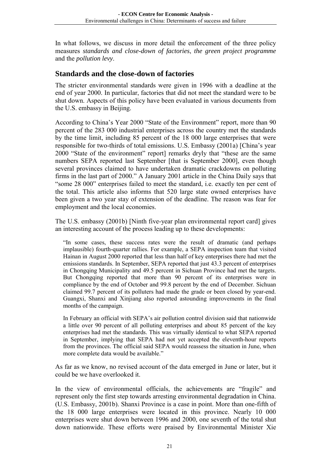In what follows, we discuss in more detail the enforcement of the three policy measures *standards and close-down of factories*, *the green project programme* and the *pollution levy*.

#### **Standards and the close-down of factories**

The stricter environmental standards were given in 1996 with a deadline at the end of year 2000. In particular, factories that did not meet the standard were to be shut down. Aspects of this policy have been evaluated in various documents from the U.S. embassy in Beijing.

According to China's Year 2000 "State of the Environment" report, more than 90 percent of the 283 000 industrial enterprises across the country met the standards by the time limit, including 85 percent of the 18 000 large enterprises that were responsible for two-thirds of total emissions. U.S. Embassy (2001a) [China's year 2000 "State of the environment" report] remarks dryly that "these are the same numbers SEPA reported last September [that is September 2000], even though several provinces claimed to have undertaken dramatic crackdowns on polluting firms in the last part of 2000." A January 2001 article in the China Daily says that "some 28 000" enterprises failed to meet the standard, i.e. exactly ten per cent of the total. This article also informs that 520 large state owned enterprises have been given a two year stay of extension of the deadline. The reason was fear for employment and the local economies.

The U.S. embassy (2001b) [Ninth five-year plan environmental report card] gives an interesting account of the process leading up to these developments:

"In some cases, these success rates were the result of dramatic (and perhaps implausible) fourth-quarter rallies. For example, a SEPA inspection team that visited Hainan in August 2000 reported that less than half of key enterprises there had met the emissions standards. In September, SEPA reported that just 43.3 percent of enterprises in Chongqing Municipality and 49.5 percent in Sichuan Province had met the targets. But Chongqing reported that more than 90 percent of its enterprises were in compliance by the end of October and 99.8 percent by the end of December. Sichuan claimed 99.7 percent of its polluters had made the grade or been closed by year-end. Guangxi, Shanxi and Xinjiang also reported astounding improvements in the final months of the campaign.

In February an official with SEPA's air pollution control division said that nationwide a little over 90 percent of all polluting enterprises and about 85 percent of the key enterprises had met the standards. This was virtually identical to what SEPA reported in September, implying that SEPA had not yet accepted the eleventh-hour reports from the provinces. The official said SEPA would reassess the situation in June, when more complete data would be available."

As far as we know, no revised account of the data emerged in June or later, but it could be we have overlooked it.

In the view of environmental officials, the achievements are "fragile" and represent only the first step towards arresting environmental degradation in China. (U.S. Embassy, 2001b). Shanxi Province is a case in point. More than one-fifth of the 18 000 large enterprises were located in this province. Nearly 10 000 enterprises were shut down between 1996 and 2000, one seventh of the total shut down nationwide. These efforts were praised by Environmental Minister Xie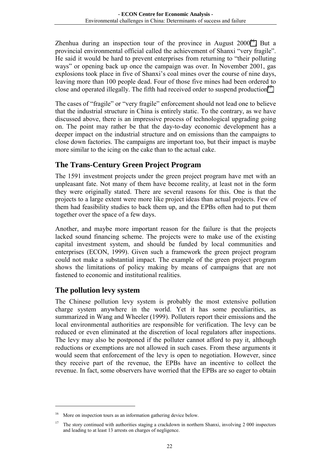Zhenhua during an inspection tour of the province in August  $2000^{16}$ . But a provincial environmental official called the achievement of Shanxi "very fragile". He said it would be hard to prevent enterprises from returning to "their polluting ways" or opening back up once the campaign was over. In November 2001, gas explosions took place in five of Shanxi's coal mines over the course of nine days, leaving more than 100 people dead. Four of those five mines had been ordered to close and operated illegally. The fifth had received order to suspend production<sup>17</sup>.

The cases of "fragile" or "very fragile" enforcement should not lead one to believe that the industrial structure in China is entirely static. To the contrary, as we have discussed above, there is an impressive process of technological upgrading going on. The point may rather be that the day-to-day economic development has a deeper impact on the industrial structure and on emissions than the campaigns to close down factories. The campaigns are important too, but their impact is maybe more similar to the icing on the cake than to the actual cake.

#### **The Trans-Century Green Project Program**

The 1591 investment projects under the green project program have met with an unpleasant fate. Not many of them have become reality, at least not in the form they were originally stated. There are several reasons for this. One is that the projects to a large extent were more like project ideas than actual projects. Few of them had feasibility studies to back them up, and the EPBs often had to put them together over the space of a few days.

Another, and maybe more important reason for the failure is that the projects lacked sound financing scheme. The projects were to make use of the existing capital investment system, and should be funded by local communities and enterprises (ECON, 1999). Given such a framework the green project program could not make a substantial impact. The example of the green project program shows the limitations of policy making by means of campaigns that are not fastened to economic and institutional realities.

#### **The pollution levy system**

 $\overline{a}$ 

The Chinese pollution levy system is probably the most extensive pollution charge system anywhere in the world. Yet it has some peculiarities, as summarized in Wang and Wheeler (1999). Polluters report their emissions and the local environmental authorities are responsible for verification. The levy can be reduced or even eliminated at the discretion of local regulators after inspections. The levy may also be postponed if the polluter cannot afford to pay it, although reductions or exemptions are not allowed in such cases. From these arguments it would seem that enforcement of the levy is open to negotiation. However, since they receive part of the revenue, the EPBs have an incentive to collect the revenue. In fact, some observers have worried that the EPBs are so eager to obtain

More on inspection tours as an information gathering device below.

<sup>17</sup> The story continued with authorities staging a crackdown in northern Shanxi, involving 2 000 inspectors and leading to at least 13 arrests on charges of negligence.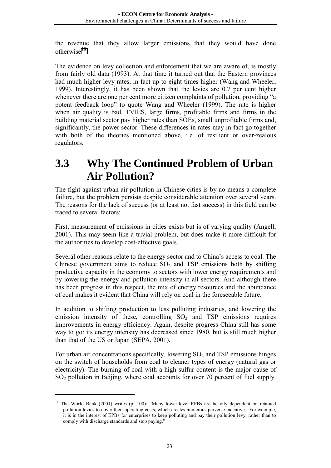<span id="page-25-0"></span>the revenue that they allow larger emissions that they would have done otherwise18.

The evidence on levy collection and enforcement that we are aware of, is mostly from fairly old data (1993). At that time it turned out that the Eastern provinces had much higher levy rates, in fact up to eight times higher (Wang and Wheeler, 1999). Interestingly, it has been shown that the levies are 0.7 per cent higher whenever there are one per cent more citizen complaints of pollution, providing "a potent feedback loop" to quote Wang and Wheeler (1999). The rate is higher when air quality is bad. TVIES, large firms, profitable firms and firms in the building material sector pay higher rates than SOEs, small unprofitable firms and, significantly, the power sector. These differences in rates may in fact go together with both of the theories mentioned above, i.e. of resilient or over-zealous regulators.

## **3.3 Why The Continued Problem of Urban Air Pollution?**

The fight against urban air pollution in Chinese cities is by no means a complete failure, but the problem persists despite considerable attention over several years. The reasons for the lack of success (or at least not fast success) in this field can be traced to several factors:

First, measurement of emissions in cities exists but is of varying quality (Angell, 2001). This may seem like a trivial problem, but does make it more difficult for the authorities to develop cost-effective goals.

Several other reasons relate to the energy sector and to China's access to coal. The Chinese government aims to reduce  $SO_2$  and TSP emissions both by shifting productive capacity in the economy to sectors with lower energy requirements and by lowering the energy and pollution intensity in all sectors. And although there has been progress in this respect, the mix of energy resources and the abundance of coal makes it evident that China will rely on coal in the foreseeable future.

In addition to shifting production to less polluting industries, and lowering the emission intensity of these, controlling  $SO<sub>2</sub>$  and TSP emissions requires improvements in energy efficiency. Again, despite progress China still has some way to go: its energy intensity has decreased since 1980, but is still much higher than that of the US or Japan (SEPA, 2001).

For urban air concentrations specifically, lowering  $SO<sub>2</sub>$  and TSP emissions hinges on the switch of households from coal to cleaner types of energy (natural gas or electricity). The burning of coal with a high sulfur content is the major cause of SO<sub>2</sub> pollution in Beijing, where coal accounts for over 70 percent of fuel supply.

<sup>&</sup>lt;sup>18</sup> The World Bank (2001) writes (p. 100): "Many lower-level EPBs are heavily dependent on retained pollution levies to cover their operating costs, which creates numerous perverse incentives. For example, it is in the interest of EPBs for enterprises to keep polluting and pay their pollution levy, rather than to comply with discharge standards and stop paying.'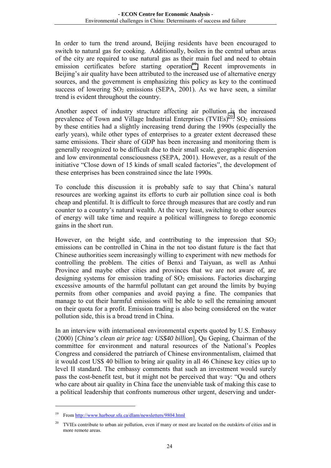In order to turn the trend around, Beijing residents have been encouraged to switch to natural gas for cooking. Additionally, boilers in the central urban areas of the city are required to use natural gas as their main fuel and need to obtain emission certificates before starting operation<sup>19</sup>. Recent improvements in Beijing's air quality have been attributed to the increased use of alternative energy sources, and the government is emphasizing this policy as key to the continued success of lowering  $SO_2$  emissions (SEPA, 2001). As we have seen, a similar trend is evident throughout the country.

Another aspect of industry structure affecting air pollution is the increased prevalence of Town and Village Industrial Enterprises  $(TVIES)^{20}$ . SO<sub>2</sub> emissions by these entities had a slightly increasing trend during the 1990s (especially the early years), while other types of enterprises to a greater extent decreased these same emissions. Their share of GDP has been increasing and monitoring them is generally recognized to be difficult due to their small scale, geographic dispersion and low environmental consciousness (SEPA, 2001). However, as a result of the initiative "Close down of 15 kinds of small scaled factories", the development of these enterprises has been constrained since the late 1990s.

To conclude this discussion it is probably safe to say that China's natural resources are working against its efforts to curb air pollution since coal is both cheap and plentiful. It is difficult to force through measures that are costly and run counter to a country's natural wealth. At the very least, switching to other sources of energy will take time and require a political willingness to forego economic gains in the short run.

However, on the bright side, and contributing to the impression that  $SO<sub>2</sub>$ emissions can be controlled in China in the not too distant future is the fact that Chinese authorities seem increasingly willing to experiment with new methods for controlling the problem. The cities of Benxi and Taiyuan, as well as Anhui Province and maybe other cities and provinces that we are not aware of, are designing systems for emission trading of  $SO<sub>2</sub>$  emissions. Factories discharging excessive amounts of the harmful pollutant can get around the limits by buying permits from other companies and avoid paying a fine. The companies that manage to cut their harmful emissions will be able to sell the remaining amount on their quota for a profit. Emission trading is also being considered on the water pollution side, this is a broad trend in China.

In an interview with international environmental experts quoted by U.S. Embassy (2000) [*China's clean air price tag: US\$40 billion*], Qu Geping, Chairman of the committee for environment and natural resources of the National's Peoples Congress and considered the patriarch of Chinese environmentalism, claimed that it would cost US\$ 40 billion to bring air quality in all 46 Chinese key cities up to level II standard. The embassy comments that such an investment would surely pass the cost-benefit test, but it might not be perceived that way: "Qu and others who care about air quality in China face the unenviable task of making this case to a political leadership that confronts numerous other urgent, deserving and under-

<sup>19</sup> From http://www.harbour.sfu.ca/dlam/newsletters/9804.html

<sup>&</sup>lt;sup>20</sup> TVIEs contribute to urban air pollution, even if many or most are located on the outskirts of cities and in more remote areas.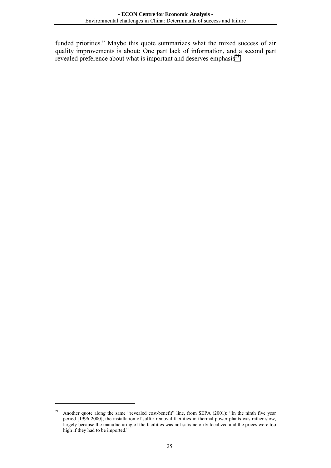funded priorities." Maybe this quote summarizes what the mixed success of air quality improvements is about: One part lack of information, and a second part revealed preference about what is important and deserves emphasis<sup>21</sup>.

<sup>&</sup>lt;sup>21</sup> Another quote along the same "revealed cost-benefit" line, from SEPA (2001): "In the ninth five year period [1996-2000], the installation of sulfur removal facilities in thermal power plants was rather slow, largely because the manufacturing of the facilities was not satisfactorily localized and the prices were too high if they had to be imported."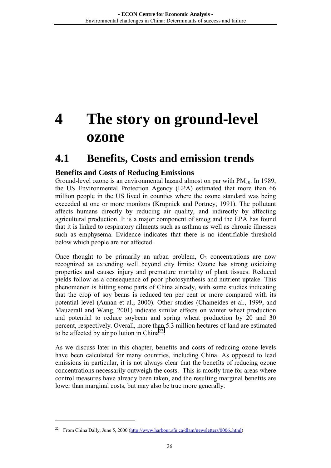## <span id="page-28-0"></span>**4 The story on ground-level ozone**

### **4.1 Benefits, Costs and emission trends**

#### **Benefits and Costs of Reducing Emissions**

Ground-level ozone is an environmental hazard almost on par with  $PM<sub>10</sub>$ . In 1989, the US Environmental Protection Agency (EPA) estimated that more than 66 million people in the US lived in counties where the ozone standard was being exceeded at one or more monitors (Krupnick and Portney, 1991). The pollutant affects humans directly by reducing air quality, and indirectly by affecting agricultural production. It is a major component of smog and the EPA has found that it is linked to respiratory ailments such as asthma as well as chronic illnesses such as emphysema. Evidence indicates that there is no identifiable threshold below which people are not affected.

Once thought to be primarily an urban problem,  $O<sub>3</sub>$  concentrations are now recognized as extending well beyond city limits: Ozone has strong oxidizing properties and causes injury and premature mortality of plant tissues. Reduced yields follow as a consequence of poor photosynthesis and nutrient uptake. This phenomenon is hitting some parts of China already, with some studies indicating that the crop of soy beans is reduced ten per cent or more compared with its potential level (Aunan et al., 2000). Other studies (Chameides et al., 1999, and Mauzerall and Wang, 2001) indicate similar effects on winter wheat production and potential to reduce soybean and spring wheat production by 20 and 30 percent, respectively. Overall, more than 5.3 million hectares of land are estimated to be affected by air pollution in  $China<sup>22</sup>$ .

As we discuss later in this chapter, benefits and costs of reducing ozone levels have been calculated for many countries, including China. As opposed to lead emissions in particular, it is not always clear that the benefits of reducing ozone concentrations necessarily outweigh the costs. This is mostly true for areas where control measures have already been taken, and the resulting marginal benefits are lower than marginal costs, but may also be true more generally.

<sup>&</sup>lt;sup>22</sup> From China Daily, June 5, 2000 (http://www.harbour.sfu.ca/dlam/newsletters/0006..html)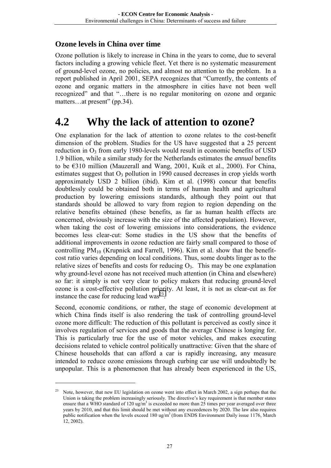#### <span id="page-29-0"></span>**Ozone levels in China over time**

Ozone pollution is likely to increase in China in the years to come, due to several factors including a growing vehicle fleet. Yet there is no systematic measurement of ground-level ozone, no policies, and almost no attention to the problem. In a report published in April 2001, SEPA recognizes that "Currently, the contents of ozone and organic matters in the atmosphere in cities have not been well recognized" and that "…there is no regular monitoring on ozone and organic matters…at present" (pp.34).

### **4.2 Why the lack of attention to ozone?**

One explanation for the lack of attention to ozone relates to the cost-benefit dimension of the problem. Studies for the US have suggested that a 25 percent reduction in  $O_3$  from early 1980-levels would result in economic benefits of USD 1.9 billion, while a similar study for the Netherlands estimates the *annual* benefits to be €310 million (Mauzerall and Wang, 2001, Kuik et al., 2000). For China, estimates suggest that  $O_3$  pollution in 1990 caused decreases in crop yields worth approximately USD 2 billion (ibid). Kim et al. (1998) concur that benefits doubtlessly could be obtained both in terms of human health and agricultural production by lowering emissions standards, although they point out that standards should be allowed to vary from region to region depending on the relative benefits obtained (these benefits, as far as human health effects are concerned, obviously increase with the size of the affected population). However, when taking the cost of lowering emissions into considerations, the evidence becomes less clear-cut: Some studies in the US show that the benefits of additional improvements in ozone reduction are fairly small compared to those of controlling  $PM_{10}$  (Krupnick and Farrell, 1996). Kim et al. show that the benefitcost ratio varies depending on local conditions. Thus, some doubts linger as to the relative sizes of benefits and costs for reducing  $O_3$ . This may be one explanation why ground-level ozone has not received much attention (in China and elsewhere) so far: it simply is not very clear to policy makers that reducing ground-level ozone is a cost-effective pollution priority. At least, it is not as clear-cut as for instance the case for reducing lead was $^{23}$ .

Second, economic conditions, or rather, the stage of economic development at which China finds itself is also rendering the task of controlling ground-level ozone more difficult: The reduction of this pollutant is perceived as costly since it involves regulation of services and goods that the average Chinese is longing for. This is particularly true for the use of motor vehicles, and makes executing decisions related to vehicle control politically unattractive: Given that the share of Chinese households that can afford a car is rapidly increasing, any measure intended to reduce ozone emissions through curbing car use will undoubtedly be unpopular. This is a phenomenon that has already been experienced in the US,

<sup>&</sup>lt;sup>23</sup> Note, however, that new EU legislation on ozone went into effect in March 2002, a sign perhaps that the Union is taking the problem increasingly seriously. The directive's key requirement is that member states ensure that a WHO standard of 120 ug/m<sup>3</sup> is exceeded no more than 25 times per year averaged over three years by 2010, and that this limit should be met without any exceedences by 2020. The law also requires public notification when the levels exceed 180 ug/m<sup>3</sup> (from ENDS Environment Daily issue 1176, March 12, 2002).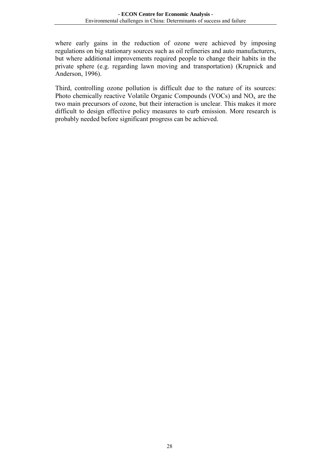where early gains in the reduction of ozone were achieved by imposing regulations on big stationary sources such as oil refineries and auto manufacturers, but where additional improvements required people to change their habits in the private sphere (e.g. regarding lawn moving and transportation) (Krupnick and Anderson, 1996).

Third, controlling ozone pollution is difficult due to the nature of its sources: Photo chemically reactive Volatile Organic Compounds (VOCs) and  $NO<sub>x</sub>$  are the two main precursors of ozone, but their interaction is unclear. This makes it more difficult to design effective policy measures to curb emission. More research is probably needed before significant progress can be achieved.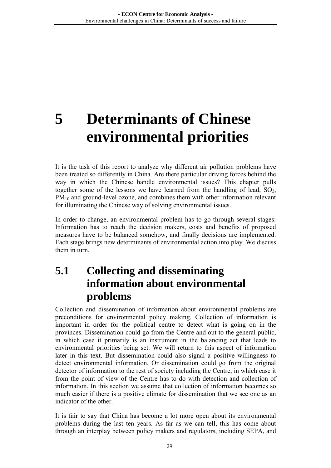## <span id="page-31-0"></span>**5 Determinants of Chinese environmental priorities**

It is the task of this report to analyze why different air pollution problems have been treated so differently in China. Are there particular driving forces behind the way in which the Chinese handle environmental issues? This chapter pulls together some of the lessons we have learned from the handling of lead,  $SO<sub>2</sub>$ , PM<sub>10</sub> and ground-level ozone, and combines them with other information relevant for illuminating the Chinese way of solving environmental issues.

In order to change, an environmental problem has to go through several stages: Information has to reach the decision makers, costs and benefits of proposed measures have to be balanced somehow, and finally decisions are implemented. Each stage brings new determinants of environmental action into play. We discuss them in turn

## **5.1 Collecting and disseminating information about environmental problems**

Collection and dissemination of information about environmental problems are preconditions for environmental policy making. Collection of information is important in order for the political centre to detect what is going on in the provinces. Dissemination could go from the Centre and out to the general public, in which case it primarily is an instrument in the balancing act that leads to environmental priorities being set. We will return to this aspect of information later in this text. But dissemination could also signal a positive willingness to detect environmental information. Or dissemination could go from the original detector of information to the rest of society including the Centre, in which case it from the point of view of the Centre has to do with detection and collection of information. In this section we assume that collection of information becomes so much easier if there is a positive climate for dissemination that we see one as an indicator of the other.

It is fair to say that China has become a lot more open about its environmental problems during the last ten years. As far as we can tell, this has come about through an interplay between policy makers and regulators, including SEPA, and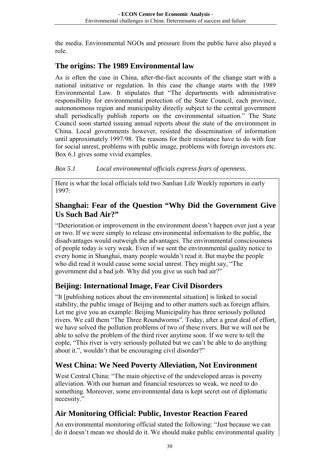the media. Environmental NGOs and pressure from the public have also played a role.

#### **The origins: The 1989 Environmental law**

As is often the case in China, after-the-fact accounts of the change start with a national initiative or regulation. In this case the change starts with the 1989 Environmental Law. It stipulates that "The departments with administrative responsibility for environmental protection of the State Council, each province, autononomous region and municipality directly subject to the central government shall periodically publish reports on the environmental situation." The State Council soon started issuing annual reports about the state of the environment in China. Local governments however, resisted the dissemination of information until approximately 1997/98. The reasons for their resistance have to do with fear for social unrest, problems with public image, problems with foreign investors etc. Box 6.1 gives some vivid examples.

#### *Box 5.1 Local environmental officials express fears of openness.*

Here is what the local officials told two Sanlian Life Weekly reporters in early 1997:

#### **Shanghai: Fear of the Question "Why Did the Government Give Us Such Bad Air?"**

"Deterioration or improvement in the environment doesn't happen over just a year or two. If we were simply to release environmental information to the public, the disadvantages would outweigh the advantages. The environmental consciousness of people today is very weak. Even if we sent the environmental quality notice to every home in Shanghai, many people wouldn't read it. But maybe the people who did read it would cause some social unrest. They might say, "The government did a bad job. Why did you give us such bad air?"

#### **Beijing: International Image, Fear Civil Disorders**

"It [publishing notices about the environmental situation] is linked to social stability, the public image of Beijing and to other matters such as foreign affairs. Let me give you an example: Beijing Municipality has three seriously polluted rivers. We call them "The Three Roundworms". Today, after a great deal of effort, we have solved the pollution problems of two of these rivers. But we will not be able to solve the problem of the third river anytime soon. If we were to tell the eople, "This river is very seriously polluted but we can't be able to do anything about it.", wouldn't that be encouraging civil disorder?"

#### **West China: We Need Poverty Alleviation, Not Environment**

West Central China: "The main objective of the undeveloped areas is poverty alleviation. With our human and financial resources so weak, we need to do something. Moreover, some environmental data is kept secret out of diplomatic necessity."

#### **Air Monitoring Official: Public, Investor Reaction Feared**

An environmental monitoring official stated the following: "Just because we can do it doesn't mean we should do it. We should make public environmental quality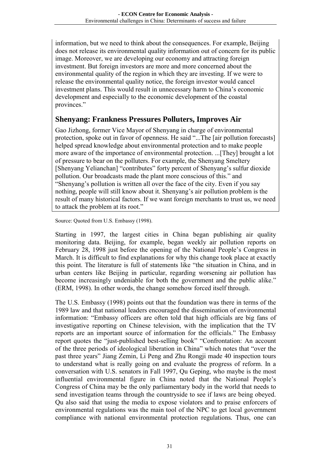information, but we need to think about the consequences. For example, Beijing does not release its environmental quality information out of concern for its public image. Moreover, we are developing our economy and attracting foreign investment. But foreign investors are more and more concerned about the environmental quality of the region in which they are investing. If we were to release the environmental quality notice, the foreign investor would cancel investment plans. This would result in unnecessary harm to China's economic development and especially to the economic development of the coastal provinces."

#### **Shenyang: Frankness Pressures Polluters, Improves Air**

Gao Jizhong, former Vice Mayor of Shenyang in charge of environmental protection, spoke out in favor of openness. He said "...The [air pollution forecasts] helped spread knowledge about environmental protection and to make people more aware of the importance of environmental protection. ...[They] brought a lot of pressure to bear on the polluters. For example, the Shenyang Smeltery [Shenyang Yelianchan] "contributes" forty percent of Shenyang's sulfur dioxide pollution. Our broadcasts made the plant more conscious of this." and "Shenyang's pollution is written all over the face of the city. Even if you say nothing, people will still know about it. Shenyang's air pollution problem is the result of many historical factors. If we want foreign merchants to trust us, we need to attack the problem at its root."

Source: Quoted from U.S. Embassy (1998).

Starting in 1997, the largest cities in China began publishing air quality monitoring data. Beijing, for example, began weekly air pollution reports on February 28, 1998 just before the opening of the National People's Congress in March. It is difficult to find explanations for why this change took place at exactly this point. The literature is full of statements like "the situation in China, and in urban centers like Beijing in particular, regarding worsening air pollution has become increasingly undeniable for both the government and the public alike." (ERM, 1998). In other words, the change somehow forced itself through.

The U.S. Embassy (1998) points out that the foundation was there in terms of the 1989 law and that national leaders encouraged the dissemination of environmental information: "Embassy officers are often told that high officials are big fans of investigative reporting on Chinese television, with the implication that the TV reports are an important source of information for the officials." The Embassy report quotes the "just-published best-selling book" "Confrontation: An account of the three periods of ideological liberation in China" which notes that "over the past three years" Jiang Zemin, Li Peng and Zhu Rongji made 40 inspection tours to understand what is really going on and evaluate the progress of reform. In a conversation with U.S. senators in Fall 1997, Qu Geping, who maybe is the most influential environmental figure in China noted that the National People's Congress of China may be the only parliamentary body in the world that needs to send investigation teams through the countryside to see if laws are being obeyed. Qu also said that using the media to expose violators and to praise enforcers of environmental regulations was the main tool of the NPC to get local government compliance with national environmental protection regulations*.* Thus, one can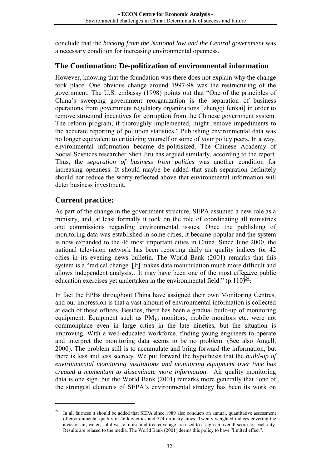conclude that the *backing from the National law and the Central government* was a necessary condition for increasing environmental openness.

#### **The Continuation: De-politization of environmental information**

However, knowing that the foundation was there does not explain why the change took place. One obvious change around 1997-98 was the restructuring of the government. The U.S. embassy (1998) points out that "One of the principles of China's sweeping government reorganization is the separation of business operations from government regulatory organizations [zhengqi fenkai] in order to remove structural incentives for corruption from the Chinese government system. The reform program, if thoroughly implemented, might remove impediments to the accurate reporting of pollution statistics." Publishing environmental data was no longer equivalent to criticizing yourself or some of your policy peers. In a way, environmental information became de-politisized. The Chinese Academy of Social Sciences researcher Shen Jiru has argued similarly, according to the report. Thus, the *separation of business from politics* was another condition for increasing openness. It should maybe be added that such separation definitely should not reduce the worry reflected above that environmental information will deter business investment.

#### **Current practice:**

 $\overline{a}$ 

As part of the change in the government structure, SEPA assumed a new role as a ministry, and, at least formally it took on the role of coordinating all ministries and commissions regarding environmental issues. Once the publishing of monitoring data was established in some cities, it became popular and the system is now expanded to the 46 most important cities in China. Since June 2000, the national television network has been reporting daily air quality indices for 42 cities in its evening news bulletin. The World Bank (2001) remarks that this system is a "radical change. [It] makes data manipulation much more difficult and allows independent analysis…It may have been one of the most effective public education exercises yet undertaken in the environmental field."  $(p.110)^{24}$ .

In fact the EPBs throughout China have assigned their own Monitoring Centres, and our impression is that a vast amount of environmental information is collected at each of these offices. Besides, there has been a gradual build-up of monitoring equipment. Equipment such as PM<sub>10</sub> monitors, mobile monitors etc. were not commonplace even in large cities in the late nineties, but the situation is improving. With a well-educated workforce, finding young engineers to operate and interpret the monitoring data seems to be no problem. (See also Angell, 2000). The problem still is to accumulate and bring forward the information, but there is less and less secrecy. We put forward the hypothesis that the *build-up of environmental monitoring institutions and monitoring equipment over time has created a momentum to disseminate more information*. Air quality monitoring data is one sign, but the World Bank (2001) remarks more generally that "one of the strongest elements of SEPA's environmental strategy has been its work on

In all fairness it should be added that SEPA since 1989 also conducts an annual, quantitative assessment of environmental quality in 46 key cities and 524 ordinary cities. Twenty weighted indices covering the areas of air, water, solid waste, noise and tree coverage are used to assign an overall score for each city. Results are relased to the media. The World Bank (2001) deems this policy to have "limited effect".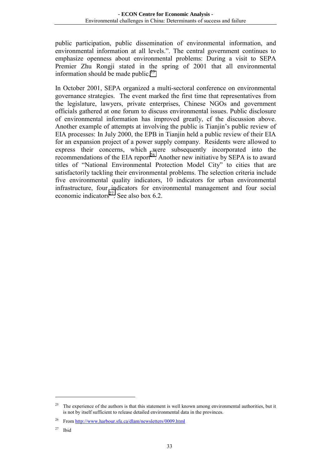public participation, public dissemination of environmental information, and environmental information at all levels.". The central government continues to emphasize openness about environmental problems: During a visit to SEPA Premier Zhu Rongji stated in the spring of 2001 that all environmental information should be made public. $25$ 

In October 2001, SEPA organized a multi-sectoral conference on environmental governance strategies. The event marked the first time that representatives from the legislature, lawyers, private enterprises, Chinese NGOs and government officials gathered at one forum to discuss environmental issues. Public disclosure of environmental information has improved greatly, cf the discussion above. Another example of attempts at involving the public is Tianjin's public review of EIA processes: In July 2000, the EPB in Tianjin held a public review of their EIA for an expansion project of a power supply company. Residents were allowed to express their concerns, which were subsequently incorporated into the recommendations of the EIA report<sup>26</sup>. Another new initiative by SEPA is to award titles of "National Environmental Protection Model City" to cities that are satisfactorily tackling their environmental problems. The selection criteria include five environmental quality indicators, 10 indicators for urban environmental infrastructure, four indicators for environmental management and four social economic indicators $^{27}$ . See also box 6.2.

<sup>25</sup> The experience of the authors is that this statement is well known among environmental authorities, but it is not by itself sufficient to release detailed environmental data in the provinces.

<sup>26</sup> From http://www.harbour.sfu.ca/dlam/newsletters/0009.html

 $27$  Ibid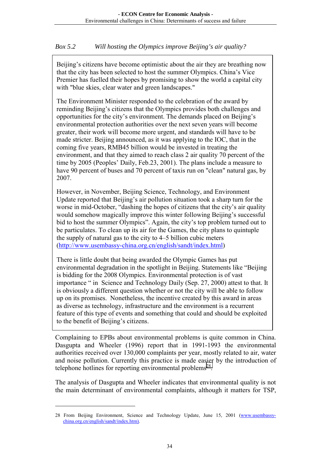#### *Box 5.2 Will hosting the Olympics improve Beijing's air quality?*

Beijing's citizens have become optimistic about the air they are breathing now that the city has been selected to host the summer Olympics. China's Vice Premier has fuelled their hopes by promising to show the world a capital city with "blue skies, clear water and green landscapes."

The Environment Minister responded to the celebration of the award by reminding Beijing's citizens that the Olympics provides both challenges and opportunities for the city's environment. The demands placed on Beijing's environmental protection authorities over the next seven years will become greater, their work will become more urgent, and standards will have to be made stricter. Beijing announced, as it was applying to the IOC, that in the coming five years, RMB45 billion would be invested in treating the environment, and that they aimed to reach class 2 air quality 70 percent of the time by 2005 (Peoples' Daily, Feb.23, 2001). The plans include a measure to have 90 percent of buses and 70 percent of taxis run on "clean" natural gas, by 2007.

However, in November, Beijing Science, Technology, and Environment Update reported that Beijing's air pollution situation took a sharp turn for the worse in mid-October, "dashing the hopes of citizens that the city's air quality would somehow magically improve this winter following Beijing's successful bid to host the summer Olympics". Again, the city's top problem turned out to be particulates. To clean up its air for the Games, the city plans to quintuple the supply of natural gas to the city to 4–5 billion cubic meters (http://www.usembassy-china.org.cn/english/sandt/index.html)

There is little doubt that being awarded the Olympic Games has put environmental degradation in the spotlight in Beijing. Statements like "Beijing is bidding for the 2008 Olympics. Environmental protection is of vast importance " in Science and Technology Daily (Sep. 27, 2000) attest to that. It is obviously a different question whether or not the city will be able to follow up on its promises. Nonetheless, the incentive created by this award in areas as diverse as technology, infrastructure and the environment is a recurrent feature of this type of events and something that could and should be exploited to the benefit of Beijing's citizens.

Complaining to EPBs about environmental problems is quite common in China. Dasgupta and Wheeler (1996) report that in 1991-1993 the environmental authorities received over 130,000 complaints per year, mostly related to air, water and noise pollution. Currently this practice is made easier by the introduction of telephone hotlines for reporting environmental problems<sup>28</sup>.

The analysis of Dasgupta and Wheeler indicates that environmental quality is not the main determinant of environmental complaints, although it matters for TSP,

<sup>28</sup> From Beijing Environment, Science and Technology Update, June 15, 2001 (www.usembassychina.org.cn/english/sandt/index.htm).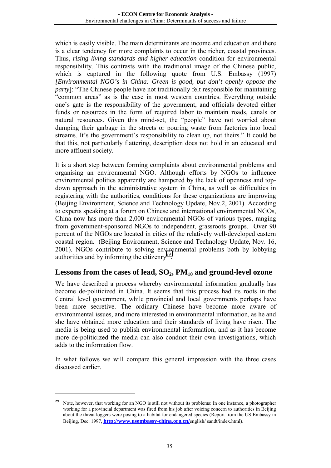which is easily visible. The main determinants are income and education and there is a clear tendency for more complaints to occur in the richer, coastal provinces. Thus, *rising living standards and higher education* condition for environmental responsibility. This contrasts with the traditional image of the Chinese public, which is captured in the following quote from U.S. Embassy (1997) *[Environmental NGO's in China: Green is good, but don't openly oppose the party*]: "The Chinese people have not traditionally felt responsible for maintaining "common areas" as is the case in most western countries. Everything outside one's gate is the responsibility of the government, and officials devoted either funds or resources in the form of required labor to maintain roads, canals or natural resources. Given this mind-set, the "people" have not worried about dumping their garbage in the streets or pouring waste from factories into local streams. It's the government's responsibility to clean up, not theirs." It could be that this, not particularly flattering, description does not hold in an educated and more affluent society.

It is a short step between forming complaints about environmental problems and organising an environmental NGO. Although efforts by NGOs to influence environmental politics apparently are hampered by the lack of openness and topdown approach in the administrative system in China, as well as difficulties in registering with the authorities, conditions for these organizations are improving (Beijing Environment, Science and Technology Update, Nov.2, 2001). According to experts speaking at a forum on Chinese and international environmental NGOs, China now has more than 2,000 environmental NGOs of various types, ranging from government-sponsored NGOs to independent, grassroots groups. Over 90 percent of the NGOs are located in cities of the relatively well-developed eastern coastal region. (Beijing Environment, Science and Technology Update, Nov. 16, 2001). NGOs contribute to solving environmental problems both by lobbying authorities and by informing the citizenry<sup>29</sup>.

#### Lessons from the cases of lead, SO<sub>2</sub>, PM<sub>10</sub> and ground-level ozone

We have described a process whereby environmental information gradually has become de-politicized in China. It seems that this process had its roots in the Central level government, while provincial and local governments perhaps have been more secretive. The ordinary Chinese have become more aware of environmental issues, and more interested in environmental information, as he and she have obtained more education and their standards of living have risen. The media is being used to publish environmental information, and as it has become more de-politicized the media can also conduct their own investigations, which adds to the information flow.

In what follows we will compare this general impression with the three cases discussed earlier.

Note, however, that working for an NGO is still not without its problems: In one instance, a photographer working for a provincial department was fired from his job after voicing concern to authorities in Beijing about the threat loggers were posing to a habitat for endangered species (Report from the US Embassy in Beijing, Dec. 1997, **http://www.usembassy-china.org.cn/**english/ sandt/index.html).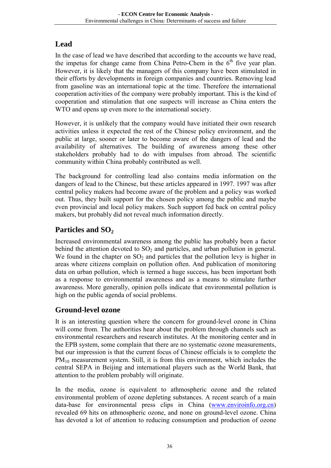#### **Lead**

In the case of lead we have described that according to the accounts we have read, the impetus for change came from China Petro-Chem in the  $6<sup>th</sup>$  five year plan. However, it is likely that the managers of this company have been stimulated in their efforts by developments in foreign companies and countries. Removing lead from gasoline was an international topic at the time. Therefore the international cooperation activities of the company were probably important. This is the kind of cooperation and stimulation that one suspects will increase as China enters the WTO and opens up even more to the international society.

However, it is unlikely that the company would have initiated their own research activities unless it expected the rest of the Chinese policy environment, and the public at large, sooner or later to become aware of the dangers of lead and the availability of alternatives. The building of awareness among these other stakeholders probably had to do with impulses from abroad. The scientific community within China probably contributed as well.

The background for controlling lead also contains media information on the dangers of lead to the Chinese, but these articles appeared in 1997. 1997 was after central policy makers had become aware of the problem and a policy was worked out. Thus, they built support for the chosen policy among the public and maybe even provincial and local policy makers. Such support fed back on central policy makers, but probably did not reveal much information directly.

#### Particles and SO<sub>2</sub>

Increased environmental awareness among the public has probably been a factor behind the attention devoted to  $SO<sub>2</sub>$  and particles, and urban pollution in general. We found in the chapter on  $SO_2$  and particles that the pollution levy is higher in areas where citizens complain on pollution often. And publication of monitoring data on urban pollution, which is termed a huge success, has been important both as a response to environmental awareness and as a means to stimulate further awareness. More generally, opinion polls indicate that environmental pollution is high on the public agenda of social problems.

#### **Ground-level ozone**

It is an interesting question where the concern for ground-level ozone in China will come from. The authorities hear about the problem through channels such as environmental researchers and research institutes. At the monitoring center and in the EPB system, some complain that there are no systematic ozone measurements, but our impression is that the current focus of Chinese officials is to complete the  $PM_{10}$  measurement system. Still, it is from this environment, which includes the central SEPA in Beijing and international players such as the World Bank, that attention to the problem probably will originate.

In the media, ozone is equivalent to athmospheric ozone and the related environmental problem of ozone depleting substances. A recent search of a main data-base for environmental press clips in China (www.enviroinfo.org.cn) revealed 69 hits on athmospheric ozone, and none on ground-level ozone. China has devoted a lot of attention to reducing consumption and production of ozone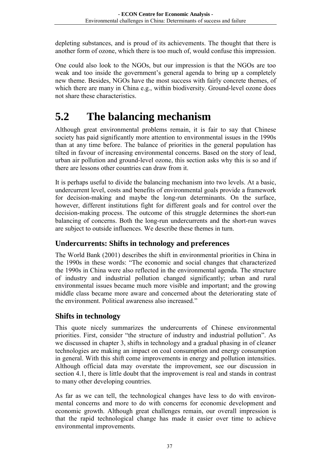<span id="page-39-0"></span>depleting substances, and is proud of its achievements. The thought that there is another form of ozone, which there is too much of, would confuse this impression.

One could also look to the NGOs, but our impression is that the NGOs are too weak and too inside the government's general agenda to bring up a completely new theme. Besides, NGOs have the most success with fairly concrete themes, of which there are many in China e.g., within biodiversity. Ground-level ozone does not share these characteristics.

## **5.2 The balancing mechanism**

Although great environmental problems remain, it is fair to say that Chinese society has paid significantly more attention to environmental issues in the 1990s than at any time before. The balance of priorities in the general population has tilted in favour of increasing environmental concerns. Based on the story of lead, urban air pollution and ground-level ozone, this section asks why this is so and if there are lessons other countries can draw from it.

It is perhaps useful to divide the balancing mechanism into two levels. At a basic, undercurrent level, costs and benefits of environmental goals provide a framework for decision-making and maybe the long-run determinants. On the surface, however, different institutions fight for different goals and for control over the decision-making process. The outcome of this struggle determines the short-run balancing of concerns. Both the long-run undercurrents and the short-run waves are subject to outside influences. We describe these themes in turn.

#### **Undercurrents: Shifts in technology and preferences**

The World Bank (2001) describes the shift in environmental priorities in China in the 1990s in these words: "The economic and social changes that characterized the 1990s in China were also reflected in the environmental agenda. The structure of industry and industrial pollution changed significantly; urban and rural environmental issues became much more visible and important; and the growing middle class became more aware and concerned about the deteriorating state of the environment. Political awareness also increased."

#### **Shifts in technology**

This quote nicely summarizes the undercurrents of Chinese environmental priorities. First, consider "the structure of industry and industrial pollution". As we discussed in chapter 3, shifts in technology and a gradual phasing in of cleaner technologies are making an impact on coal consumption and energy consumption in general. With this shift come improvements in energy and pollution intensities. Although official data may overstate the improvement, see our discussion in section 4.1, there is little doubt that the improvement is real and stands in contrast to many other developing countries.

As far as we can tell, the technological changes have less to do with environmental concerns and more to do with concerns for economic development and economic growth. Although great challenges remain, our overall impression is that the rapid technological change has made it easier over time to achieve environmental improvements.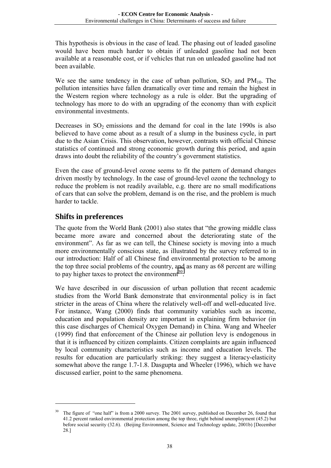This hypothesis is obvious in the case of lead. The phasing out of leaded gasoline would have been much harder to obtain if unleaded gasoline had not been available at a reasonable cost, or if vehicles that run on unleaded gasoline had not been available.

We see the same tendency in the case of urban pollution,  $SO_2$  and  $PM_{10}$ . The pollution intensities have fallen dramatically over time and remain the highest in the Western region where technology as a rule is older. But the upgrading of technology has more to do with an upgrading of the economy than with explicit environmental investments.

Decreases in  $SO_2$  emissions and the demand for coal in the late 1990s is also believed to have come about as a result of a slump in the business cycle, in part due to the Asian Crisis. This observation, however, contrasts with official Chinese statistics of continued and strong economic growth during this period, and again draws into doubt the reliability of the country's government statistics.

Even the case of ground-level ozone seems to fit the pattern of demand changes driven mostly by technology. In the case of ground-level ozone the technology to reduce the problem is not readily available, e.g. there are no small modifications of cars that can solve the problem, demand is on the rise, and the problem is much harder to tackle.

#### **Shifts in preferences**

 $\overline{a}$ 

The quote from the World Bank (2001) also states that "the growing middle class became more aware and concerned about the deteriorating state of the environment". As far as we can tell, the Chinese society is moving into a much more environmentally conscious state, as illustrated by the survey referred to in our introduction: Half of all Chinese find environmental protection to be among the top three social problems of the country, and as many as 68 percent are willing to pay higher taxes to protect the environment<sup>30</sup>.

We have described in our discussion of urban pollution that recent academic studies from the World Bank demonstrate that environmental policy is in fact stricter in the areas of China where the relatively well-off and well-educated live. For instance, Wang (2000) finds that community variables such as income, education and population density are important in explaining firm behavior (in this case discharges of Chemical Oxygen Demand) in China. Wang and Wheeler (1999) find that enforcement of the Chinese air pollution levy is endogenous in that it is influenced by citizen complaints. Citizen complaints are again influenced by local community characteristics such as income and education levels. The results for education are particularly striking: they suggest a literacy-elasticity somewhat above the range 1.7-1.8. Dasgupta and Wheeler (1996), which we have discussed earlier, point to the same phenomena.

<sup>30</sup> The figure of "one half" is from a 2000 survey. The 2001 survey, published on December 26, found that 41.2 percent ranked environmental protection among the top three, right behind unemployment (45.2) but before social security (32.6). (Beijing Environment, Science and Technology update, 2001b) [December 28.]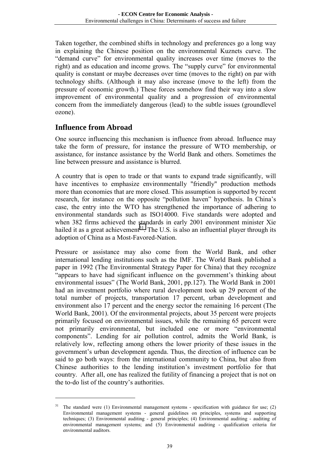Taken together, the combined shifts in technology and preferences go a long way in explaining the Chinese position on the environmental Kuznets curve. The "demand curve" for environmental quality increases over time (moves to the right) and as education and income grows. The "supply curve" for environmental quality is constant or maybe decreases over time (moves to the right) on par with technology shifts. (Although it may also increase (move to the left) from the pressure of economic growth.) These forces somehow find their way into a slow improvement of environmental quality and a progression of environmental concern from the immediately dangerous (lead) to the subtle issues (groundlevel ozone).

#### **Influence from Abroad**

 $\overline{a}$ 

One source influencing this mechanism is influence from abroad. Influence may take the form of pressure, for instance the pressure of WTO membership, or assistance, for instance assistance by the World Bank and others. Sometimes the line between pressure and assistance is blurred.

A country that is open to trade or that wants to expand trade significantly, will have incentives to emphasize environmentally "friendly" production methods more than economies that are more closed. This assumption is supported by recent research, for instance on the opposite "pollution haven" hypothesis. In China's case, the entry into the WTO has strengthened the importance of adhering to environmental standards such as ISO14000. Five standards were adopted and when 382 firms achieved the standards in early 2001 environment minister Xie hailed it as a great achievement<sup>31</sup>. The U.S. is also an influential player through its adoption of China as a Most-Favored-Nation.

Pressure or assistance may also come from the World Bank, and other international lending institutions such as the IMF. The World Bank published a paper in 1992 (The Environmental Strategy Paper for China) that they recognize "appears to have had significant influence on the government's thinking about environmental issues" (The World Bank, 2001, pp.127). The World Bank in 2001 had an investment portfolio where rural development took up 29 percent of the total number of projects, transportation 17 percent, urban development and environment also 17 percent and the energy sector the remaining 16 percent (The World Bank, 2001). Of the environmental projects, about 35 percent were projects primarily focused on environmental issues, while the remaining 65 percent were not primarily environmental, but included one or more "environmental components". Lending for air pollution control, admits the World Bank, is relatively low, reflecting among others the lower priority of these issues in the government's urban development agenda. Thus, the direction of influence can be said to go both ways: from the international community to China, but also from Chinese authorities to the lending institution's investment portfolio for that country. After all, one has realized the futility of financing a project that is not on the to-do list of the country's authorities.

 $31$  The standard were (1) Environmental management systems - specification with guidance for use; (2) Environmental management systems - general guidelines on principles, systems and supporting techniques; (3) Environmental auditing - general principles; (4) Environmental auditing - auditing of environmental management systems; and (5) Environmental auditing - qualification criteria for environmental auditors.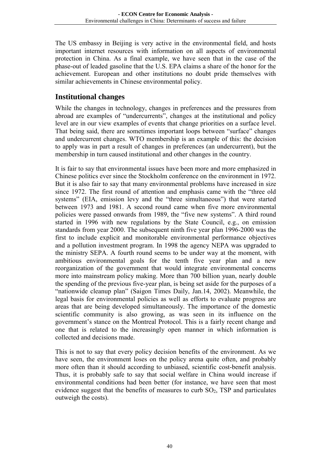The US embassy in Beijing is very active in the environmental field, and hosts important internet resources with information on all aspects of environmental protection in China. As a final example, we have seen that in the case of the phase-out of leaded gasoline that the U.S. EPA claims a share of the honor for the achievement. European and other institutions no doubt pride themselves with similar achievements in Chinese environmental policy.

#### **Institutional changes**

While the changes in technology, changes in preferences and the pressures from abroad are examples of "undercurrents", changes at the institutional and policy level are in our view examples of events that change priorities on a surface level. That being said, there are sometimes important loops between "surface" changes and undercurrent changes. WTO membership is an example of this: the decision to apply was in part a result of changes in preferences (an undercurrent), but the membership in turn caused institutional and other changes in the country.

It is fair to say that environmental issues have been more and more emphasized in Chinese politics ever since the Stockholm conference on the environment in 1972. But it is also fair to say that many environmental problems have increased in size since 1972. The first round of attention and emphasis came with the "three old systems" (EIA, emission levy and the "three simultaneous") that were started between 1973 and 1981. A second round came when five more environmental policies were passed onwards from 1989, the "five new systems". A third round started in 1996 with new regulations by the State Council, e.g., on emission standards from year 2000. The subsequent ninth five year plan 1996-2000 was the first to include explicit and monitorable environmental performance objectives and a pollution investment program. In 1998 the agency NEPA was upgraded to the ministry SEPA. A fourth round seems to be under way at the moment, with ambitious environmental goals for the tenth five year plan and a new reorganization of the government that would integrate environmental concerns more into mainstream policy making. More than 700 billion yuan, nearly double the spending of the previous five-year plan, is being set aside for the purposes of a "nationwide cleanup plan" (Saigon Times Daily, Jan.14, 2002). Meanwhile, the legal basis for environmental policies as well as efforts to evaluate progress are areas that are being developed simultaneously. The importance of the domestic scientific community is also growing, as was seen in its influence on the government's stance on the Montreal Protocol. This is a fairly recent change and one that is related to the increasingly open manner in which information is collected and decisions made.

This is not to say that every policy decision benefits of the environment. As we have seen, the environment loses on the policy arena quite often, and probably more often than it should according to unbiased, scientific cost-benefit analysis. Thus, it is probably safe to say that social welfare in China would increase if environmental conditions had been better (for instance, we have seen that most evidence suggest that the benefits of measures to curb  $SO<sub>2</sub>$ , TSP and particulates outweigh the costs).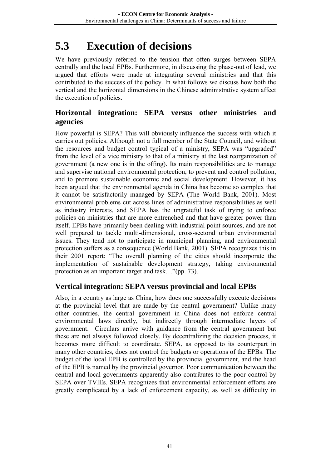## <span id="page-43-0"></span>**5.3 Execution of decisions**

We have previously referred to the tension that often surges between SEPA centrally and the local EPBs. Furthermore, in discussing the phase-out of lead, we argued that efforts were made at integrating several ministries and that this contributed to the success of the policy. In what follows we discuss how both the vertical and the horizontal dimensions in the Chinese administrative system affect the execution of policies.

#### **Horizontal integration: SEPA versus other ministries and agencies**

How powerful is SEPA? This will obviously influence the success with which it carries out policies. Although not a full member of the State Council, and without the resources and budget control typical of a ministry, SEPA was "upgraded" from the level of a vice ministry to that of a ministry at the last reorganization of government (a new one is in the offing). Its main responsibilities are to manage and supervise national environmental protection, to prevent and control pollution, and to promote sustainable economic and social development. However, it has been argued that the environmental agenda in China has become so complex that it cannot be satisfactorily managed by SEPA (The World Bank, 2001). Most environmental problems cut across lines of administrative responsibilities as well as industry interests, and SEPA has the ungrateful task of trying to enforce policies on ministries that are more entrenched and that have greater power than itself. EPBs have primarily been dealing with industrial point sources, and are not well prepared to tackle multi-dimensional, cross-sectoral urban environmental issues. They tend not to participate in municipal planning, and environmental protection suffers as a consequence (World Bank, 2001). SEPA recognizes this in their 2001 report: "The overall planning of the cities should incorporate the implementation of sustainable development strategy, taking environmental protection as an important target and task…"(pp. 73).

#### **Vertical integration: SEPA versus provincial and local EPBs**

Also, in a country as large as China, how does one successfully execute decisions at the provincial level that are made by the central government? Unlike many other countries, the central government in China does not enforce central environmental laws directly, but indirectly through intermediate layers of government. Circulars arrive with guidance from the central government but these are not always followed closely. By decentralizing the decision process, it becomes more difficult to coordinate. SEPA, as opposed to its counterpart in many other countries, does not control the budgets or operations of the EPBs. The budget of the local EPB is controlled by the provincial government, and the head of the EPB is named by the provincial governor. Poor communication between the central and local governments apparently also contributes to the poor control by SEPA over TVIEs. SEPA recognizes that environmental enforcement efforts are greatly complicated by a lack of enforcement capacity, as well as difficulty in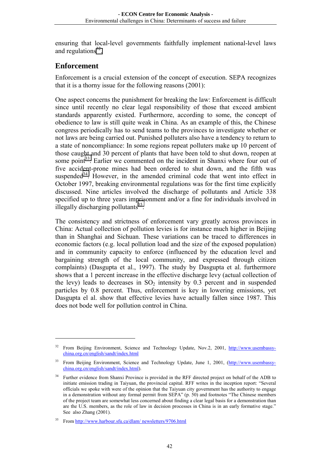ensuring that local-level governments faithfully implement national-level laws and regulations $32$ .

#### **Enforcement**

 $\overline{a}$ 

Enforcement is a crucial extension of the concept of execution. SEPA recognizes that it is a thorny issue for the following reasons (2001):

One aspect concerns the punishment for breaking the law: Enforcement is difficult since until recently no clear legal responsibility of those that exceed ambient standards apparently existed. Furthermore, according to some, the concept of obedience to law is still quite weak in China. As an example of this, the Chinese congress periodically has to send teams to the provinces to investigate whether or not laws are being carried out. Punished polluters also have a tendency to return to a state of noncompliance: In some regions repeat polluters make up 10 percent of those caught and 30 percent of plants that have been told to shut down, reopen at some point<sup>33</sup>. Earlier we commented on the incident in Shanxi where four out of five accident-prone mines had been ordered to shut down, and the fifth was suspended $34$ . However, in the amended criminal code that went into effect in October 1997, breaking environmental regulations was for the first time explicitly discussed. Nine articles involved the discharge of pollutants and Article 338 specified up to three years imprisonment and/or a fine for individuals involved in illegally discharging pollutants $35$ .

The consistency and strictness of enforcement vary greatly across provinces in China: Actual collection of pollution levies is for instance much higher in Beijing than in Shanghai and Sichuan. These variations can be traced to differences in economic factors (e.g. local pollution load and the size of the exposed population) and in community capacity to enforce (influenced by the education level and bargaining strength of the local community, and expressed through citizen complaints) (Dasgupta et al., 1997). The study by Dasgupta et al. furthermore shows that a 1 percent increase in the effective discharge levy (actual collection of the levy) leads to decreases in  $SO_2$  intensity by 0.3 percent and in suspended particles by 0.8 percent. Thus, enforcement is key in lowering emissions, yet Dasgupta el al. show that effective levies have actually fallen since 1987. This does not bode well for pollution control in China.

<sup>&</sup>lt;sup>32</sup> From Beijing Environment, Science and Technology Update, Nov.2, 2001, http://www.usembassychina.org.cn/english/sandt/index.html

<sup>&</sup>lt;sup>33</sup> From Beijing Environment, Science and Technology Update, June 1, 2001, (http://www.usembassychina.org.cn/english/sandt/index.html).

<sup>&</sup>lt;sup>34</sup> Further evidence from Shanxi Province is provided in the RFF directed project on behalf of the ADB to initiate emission trading in Taiyuan, the provincial capital. RFF writes in the inception report: "Several officials we spoke with were of the opinion that the Taiyuan city government has the authority to engage in a demonstration without any formal permit from SEPA" (p. 50) and footnotes "The Chinese members of the project team are somewhat less concerned about finding a clear legal basis for a demonstration than are the U.S. members, as the role of law in decision processes in China is in an early formative stage." See also Zhang (2001).

<sup>35</sup> From http://www.harbour.sfu.ca/dlam/ newsletters/9706.html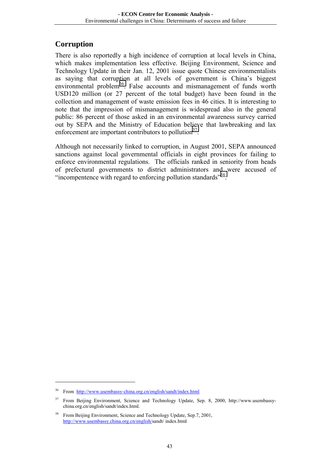#### **Corruption**

There is also reportedly a high incidence of corruption at local levels in China, which makes implementation less effective. Beijing Environment, Science and Technology Update in their Jan. 12, 2001 issue quote Chinese environmentalists as saying that corruption at all levels of government is China's biggest environmental problem<sup>36</sup>. False accounts and mismanagement of funds worth USD120 million (or 27 percent of the total budget) have been found in the collection and management of waste emission fees in 46 cities. It is interesting to note that the impression of mismanagement is widespread also in the general public: 86 percent of those asked in an environmental awareness survey carried out by SEPA and the Ministry of Education believe that lawbreaking and lax enforcement are important contributors to pollution<sup>37</sup>.

Although not necessarily linked to corruption, in August 2001, SEPA announced sanctions against local governmental officials in eight provinces for failing to enforce environmental regulations. The officials ranked in seniority from heads of prefectural governments to district administrators and were accused of "incompentence with regard to enforcing pollution standards"<sup>38</sup>.

<sup>36</sup> From http://www.usembassy-china.org.cn/english/sandt/index.html

<sup>&</sup>lt;sup>37</sup> From Beijing Environment, Science and Technology Update, Sep. 8, 2000, http://www.usembassychina.org.cn/english/sandt/index.html.

<sup>&</sup>lt;sup>38</sup> From Beijing Environment, Science and Technology Update, Sep.7, 2001, http://www.usembassy.china.org.cn/english/sandt/ index.html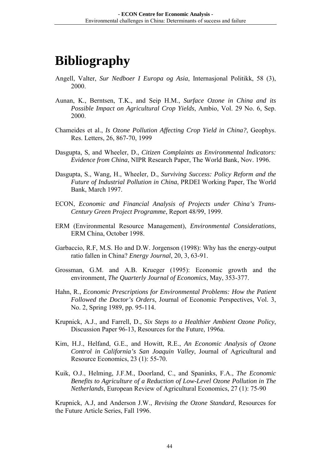## **Bibliography**

- Angell, Valter, *Sur Nedboer I Europa og Asia*, Internasjonal Politikk, 58 (3), 2000.
- Aunan, K., Berntsen, T.K., and Seip H.M., *Surface Ozone in China and its Possible Impact on Agricultural Crop Yields*, Ambio, Vol. 29 No. 6, Sep. 2000.
- Chameides et al., *Is Ozone Pollution Affecting Crop Yield in China?*, Geophys. Res. Letters, 26, 867-70, 1999
- Dasgupta, S, and Wheeler, D., *Citizen Complaints as Environmental Indicators: Evidence from China*, NIPR Research Paper, The World Bank, Nov. 1996.
- Dasgupta, S., Wang, H., Wheeler, D., *Surviving Success: Policy Reform and the Future of Industrial Pollution in China*, PRDEI Working Paper, The World Bank, March 1997.
- ECON, *Economic and Financial Analysis of Projects under China's Trans-Century Green Project Programme*, Report 48/99, 1999.
- ERM (Environmental Resource Management), *Environmental Considerations*, ERM China, October 1998.
- Garbaccio, R.F, M.S. Ho and D.W. Jorgenson (1998): Why has the energy-output ratio fallen in China? *Energy Journal*, 20, 3, 63-91.
- Grossman, G.M. and A.B. Krueger (1995): Economic growth and the environment, *The Quarterly Journal of Economics*, May, 353-377.
- Hahn, R., *Economic Prescriptions for Environmental Problems: How the Patient Followed the Doctor's Orders*, Journal of Economic Perspectives, Vol. 3, No. 2, Spring 1989, pp. 95-114.
- Krupnick, A.J., and Farrell, D., *Six Steps to a Healthier Ambient Ozone Policy*, Discussion Paper 96-13, Resources for the Future, 1996a.
- Kim, H.J., Helfand, G.E., and Howitt, R.E., *An Economic Analysis of Ozone Control in California's San Joaquin Valley*, Journal of Agricultural and Resource Economics, 23 (1): 55-70.
- Kuik, O.J., Helming, J.F.M., Doorland, C., and Spaninks, F.A., *The Economic Benefits to Agriculture of a Reduction of Low-Level Ozone Pollution in The Netherlands*, European Review of Agricultural Economics, 27 (1): 75-90

Krupnick, A.J, and Anderson J.W., *Revising the Ozone Standard*, Resources for the Future Article Series, Fall 1996.